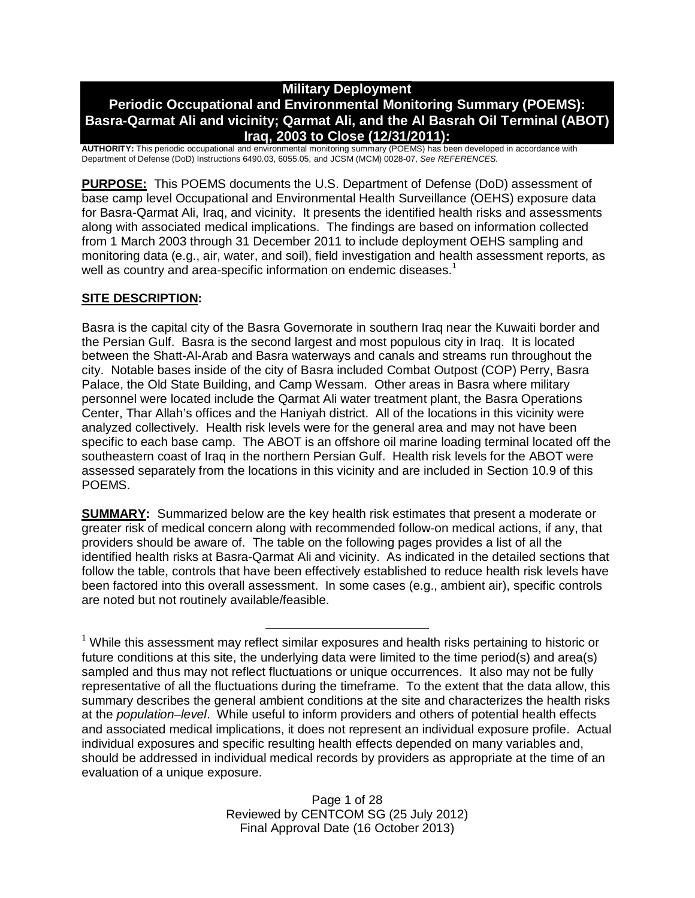# **Military Deployment**

# **Periodic Occupational and Environmental Monitoring Summary (POEMS): Basra-Qarmat Ali and vicinity; Qarmat Ali, and the Al Basrah Oil Terminal (ABOT) Iraq, 2003 to Close (12/31/2011):**

**AUTHORITY:** This periodic occupational and environmental monitoring summary (POEMS) has been developed in accordance with Department of Defense (DoD) Instructions 6490.03, 6055.05, and JCSM (MCM) 0028-07, *See REFERENCES.*

**PURPOSE:** This POEMS documents the U.S. Department of Defense (DoD) assessment of base camp level Occupational and Environmental Health Surveillance (OEHS) exposure data for Basra-Qarmat Ali, Iraq, and vicinity. It presents the identified health risks and assessments along with associated medical implications. The findings are based on information collected from 1 March 2003 through 31 December 2011 to include deployment OEHS sampling and monitoring data (e.g., air, water, and soil), field investigation and health assessment reports, as well as country and area-specific information on endemic diseases.<sup>1</sup>

# **SITE DESCRIPTION:**

Basra is the capital city of the Basra Governorate in southern Iraq near the Kuwaiti border and the Persian Gulf. Basra is the second largest and most populous city in Iraq. It is located between the Shatt-Al-Arab and Basra waterways and canals and streams run throughout the city. Notable bases inside of the city of Basra included Combat Outpost (COP) Perry, Basra Palace, the Old State Building, and Camp Wessam. Other areas in Basra where military personnel were located include the Qarmat Ali water treatment plant, the Basra Operations Center, Thar Allah's offices and the Haniyah district. All of the locations in this vicinity were analyzed collectively. Health risk levels were for the general area and may not have been specific to each base camp. The ABOT is an offshore oil marine loading terminal located off the southeastern coast of Iraq in the northern Persian Gulf. Health risk levels for the ABOT were assessed separately from the locations in this vicinity and are included in Section 10.9 of this POEMS.

**SUMMARY:** Summarized below are the key health risk estimates that present a moderate or greater risk of medical concern along with recommended follow-on medical actions, if any, that providers should be aware of. The table on the following pages provides a list of all the identified health risks at Basra-Qarmat Ali and vicinity. As indicated in the detailed sections that follow the table, controls that have been effectively established to reduce health risk levels have been factored into this overall assessment. In some cases (e.g., ambient air), specific controls are noted but not routinely available/feasible.

 $1$  While this assessment may reflect similar exposures and health risks pertaining to historic or future conditions at this site, the underlying data were limited to the time period(s) and area(s) sampled and thus may not reflect fluctuations or unique occurrences. It also may not be fully representative of all the fluctuations during the timeframe. To the extent that the data allow, this summary describes the general ambient conditions at the site and characterizes the health risks at the *population–level*. While useful to inform providers and others of potential health effects and associated medical implications, it does not represent an individual exposure profile. Actual individual exposures and specific resulting health effects depended on many variables and, should be addressed in individual medical records by providers as appropriate at the time of an evaluation of a unique exposure.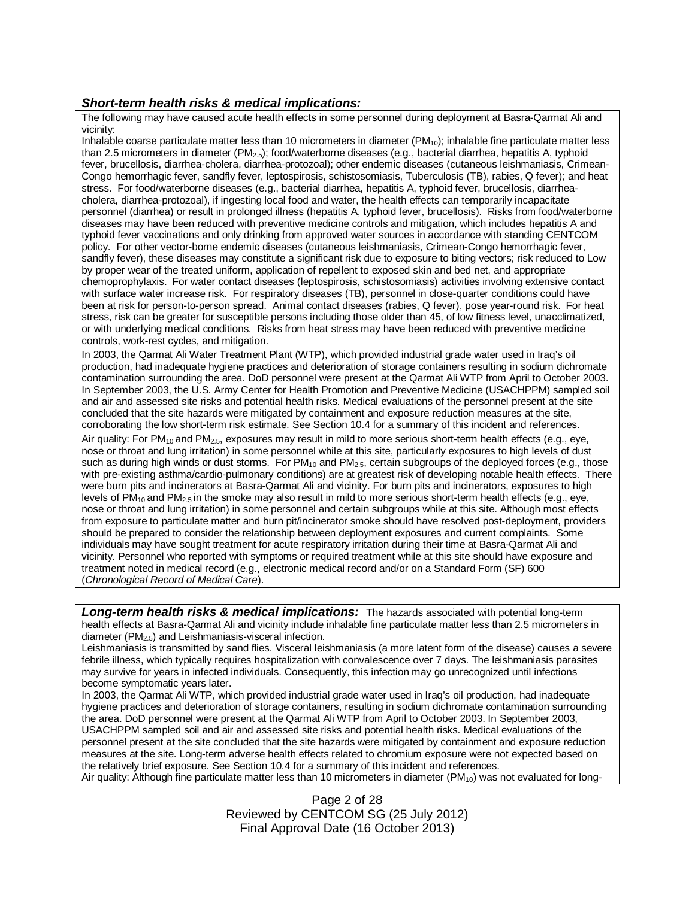#### *Short-term health risks & medical implications:*

The following may have caused acute health effects in some personnel during deployment at Basra-Qarmat Ali and vicinity:

Inhalable coarse particulate matter less than 10 micrometers in diameter  $(PM_{10})$ ; inhalable fine particulate matter less than 2.5 micrometers in diameter ( $PM_{2.5}$ ); food/waterborne diseases (e.g., bacterial diarrhea, hepatitis A, typhoid fever, brucellosis, diarrhea-cholera, diarrhea-protozoal); other endemic diseases (cutaneous leishmaniasis, Crimean-Congo hemorrhagic fever, sandfly fever, leptospirosis, schistosomiasis, Tuberculosis (TB), rabies, Q fever); and heat stress. For food/waterborne diseases (e.g., bacterial diarrhea, hepatitis A, typhoid fever, brucellosis, diarrheacholera, diarrhea-protozoal), if ingesting local food and water, the health effects can temporarily incapacitate personnel (diarrhea) or result in prolonged illness (hepatitis A, typhoid fever, brucellosis). Risks from food/waterborne diseases may have been reduced with preventive medicine controls and mitigation, which includes hepatitis A and typhoid fever vaccinations and only drinking from approved water sources in accordance with standing CENTCOM policy. For other vector-borne endemic diseases (cutaneous leishmaniasis, Crimean-Congo hemorrhagic fever, sandfly fever), these diseases may constitute a significant risk due to exposure to biting vectors; risk reduced to Low by proper wear of the treated uniform, application of repellent to exposed skin and bed net, and appropriate chemoprophylaxis. For water contact diseases (leptospirosis, schistosomiasis) activities involving extensive contact with surface water increase risk. For respiratory diseases (TB), personnel in close-quarter conditions could have been at risk for person-to-person spread. Animal contact diseases (rabies, Q fever), pose year-round risk. For heat stress, risk can be greater for susceptible persons including those older than 45, of low fitness level, unacclimatized, or with underlying medical conditions. Risks from heat stress may have been reduced with preventive medicine controls, work-rest cycles, and mitigation.

In 2003, the Qarmat Ali Water Treatment Plant (WTP), which provided industrial grade water used in Iraq's oil production, had inadequate hygiene practices and deterioration of storage containers resulting in sodium dichromate contamination surrounding the area. DoD personnel were present at the Qarmat Ali WTP from April to October 2003. In September 2003, the U.S. Army Center for Health Promotion and Preventive Medicine (USACHPPM) sampled soil and air and assessed site risks and potential health risks. Medical evaluations of the personnel present at the site concluded that the site hazards were mitigated by containment and exposure reduction measures at the site, corroborating the low short-term risk estimate. See Section 10.4 for a summary of this incident and references.

Air quality: For PM<sub>10</sub> and PM<sub>2.5</sub>, exposures may result in mild to more serious short-term health effects (e.g., eye, nose or throat and lung irritation) in some personnel while at this site, particularly exposures to high levels of dust such as during high winds or dust storms. For  $PM_{10}$  and  $PM_{2.5}$ , certain subgroups of the deployed forces (e.g., those with pre-existing asthma/cardio-pulmonary conditions) are at greatest risk of developing notable health effects. There were burn pits and incinerators at Basra-Qarmat Ali and vicinity. For burn pits and incinerators, exposures to high levels of PM<sub>10</sub> and PM<sub>2.5</sub> in the smoke may also result in mild to more serious short-term health effects (e.g., eye, nose or throat and lung irritation) in some personnel and certain subgroups while at this site. Although most effects from exposure to particulate matter and burn pit/incinerator smoke should have resolved post-deployment, providers should be prepared to consider the relationship between deployment exposures and current complaints. Some individuals may have sought treatment for acute respiratory irritation during their time at Basra-Qarmat Ali and vicinity. Personnel who reported with symptoms or required treatment while at this site should have exposure and treatment noted in medical record (e.g., electronic medical record and/or on a Standard Form (SF) 600 (*Chronological Record of Medical Care*).

*Long-term health risks & medical implications:* The hazards associated with potential long-term health effects at Basra-Qarmat Ali and vicinity include inhalable fine particulate matter less than 2.5 micrometers in diameter (PM2.5) and Leishmaniasis-visceral infection.

Leishmaniasis is transmitted by sand flies. Visceral leishmaniasis (a more latent form of the disease) causes a severe febrile illness, which typically requires hospitalization with convalescence over 7 days. The leishmaniasis parasites may survive for years in infected individuals. Consequently, this infection may go unrecognized until infections become symptomatic years later.

In 2003, the Qarmat Ali WTP, which provided industrial grade water used in Iraq's oil production, had inadequate hygiene practices and deterioration of storage containers, resulting in sodium dichromate contamination surrounding the area. DoD personnel were present at the Qarmat Ali WTP from April to October 2003. In September 2003, USACHPPM sampled soil and air and assessed site risks and potential health risks. Medical evaluations of the personnel present at the site concluded that the site hazards were mitigated by containment and exposure reduction measures at the site. Long-term adverse health effects related to chromium exposure were not expected based on the relatively brief exposure. See Section 10.4 for a summary of this incident and references. Air quality: Although fine particulate matter less than 10 micrometers in diameter ( $PM_{10}$ ) was not evaluated for long-

> Page 2 of 28 Reviewed by CENTCOM SG (25 July 2012) Final Approval Date (16 October 2013)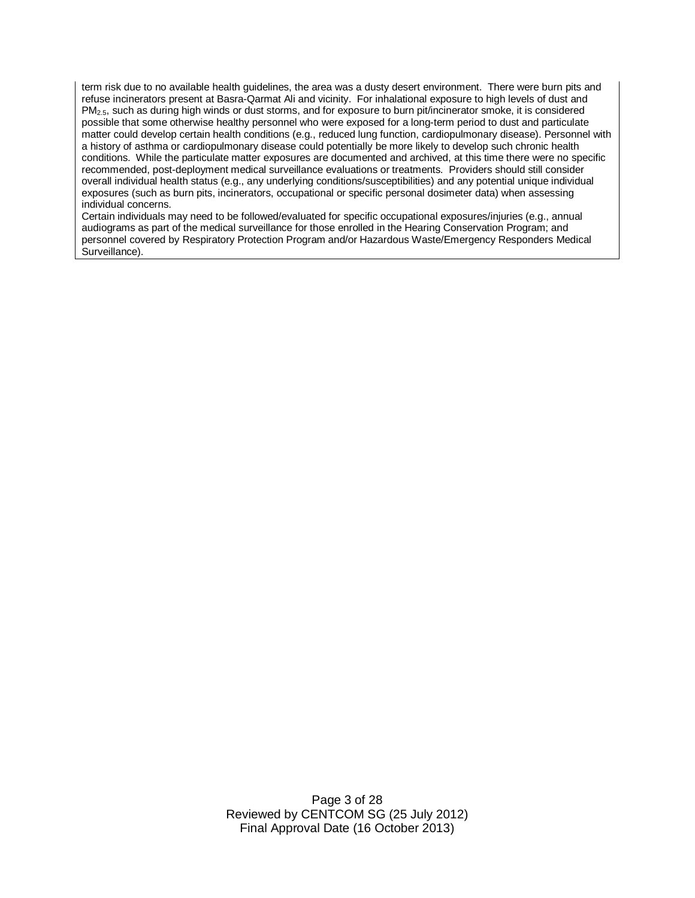term risk due to no available health guidelines, the area was a dusty desert environment. There were burn pits and refuse incinerators present at Basra-Qarmat Ali and vicinity. For inhalational exposure to high levels of dust and PM2.5, such as during high winds or dust storms, and for exposure to burn pit/incinerator smoke, it is considered possible that some otherwise healthy personnel who were exposed for a long-term period to dust and particulate matter could develop certain health conditions (e.g., reduced lung function, cardiopulmonary disease). Personnel with a history of asthma or cardiopulmonary disease could potentially be more likely to develop such chronic health conditions. While the particulate matter exposures are documented and archived, at this time there were no specific recommended, post-deployment medical surveillance evaluations or treatments. Providers should still consider overall individual health status (e.g., any underlying conditions/susceptibilities) and any potential unique individual exposures (such as burn pits, incinerators, occupational or specific personal dosimeter data) when assessing individual concerns.

Certain individuals may need to be followed/evaluated for specific occupational exposures/injuries (e.g., annual audiograms as part of the medical surveillance for those enrolled in the Hearing Conservation Program; and personnel covered by Respiratory Protection Program and/or Hazardous Waste/Emergency Responders Medical Surveillance).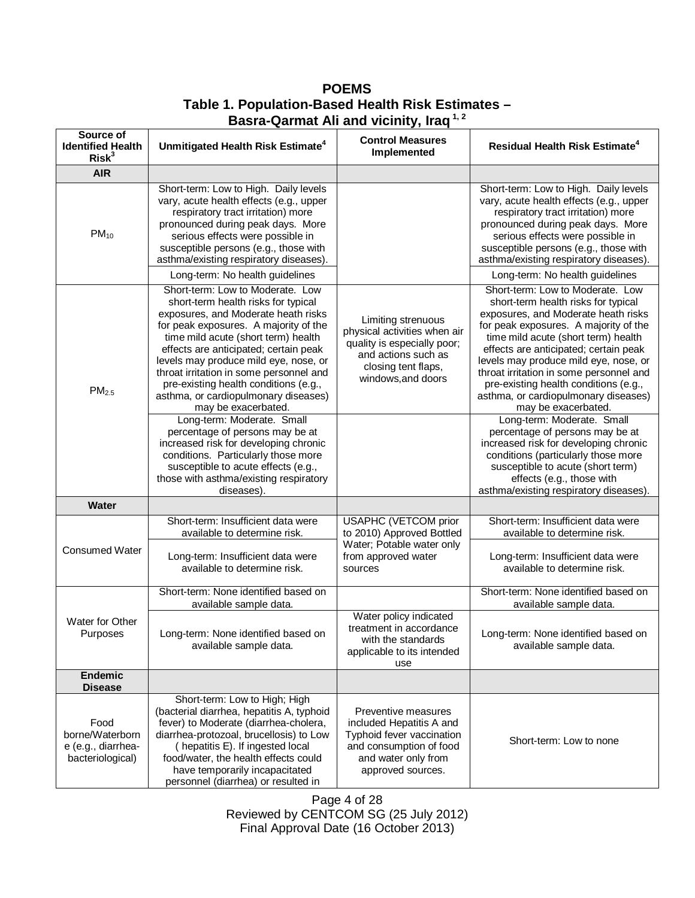| Source of<br><b>Identified Health</b><br>Risk <sup>3</sup>        | Unmitigated Health Risk Estimate <sup>4</sup>                                                                                                                                                                                                                                                                                                                                                                                       | <b>Control Measures</b><br>Implemented                                                                                                                | Residual Health Risk Estimate <sup>4</sup>                                                                                                                                                                                                                                                                                                                                                                                          |
|-------------------------------------------------------------------|-------------------------------------------------------------------------------------------------------------------------------------------------------------------------------------------------------------------------------------------------------------------------------------------------------------------------------------------------------------------------------------------------------------------------------------|-------------------------------------------------------------------------------------------------------------------------------------------------------|-------------------------------------------------------------------------------------------------------------------------------------------------------------------------------------------------------------------------------------------------------------------------------------------------------------------------------------------------------------------------------------------------------------------------------------|
| <b>AIR</b>                                                        |                                                                                                                                                                                                                                                                                                                                                                                                                                     |                                                                                                                                                       |                                                                                                                                                                                                                                                                                                                                                                                                                                     |
| $PM_{10}$                                                         | Short-term: Low to High. Daily levels<br>vary, acute health effects (e.g., upper<br>respiratory tract irritation) more<br>pronounced during peak days. More<br>serious effects were possible in<br>susceptible persons (e.g., those with<br>asthma/existing respiratory diseases).                                                                                                                                                  |                                                                                                                                                       | Short-term: Low to High. Daily levels<br>vary, acute health effects (e.g., upper<br>respiratory tract irritation) more<br>pronounced during peak days. More<br>serious effects were possible in<br>susceptible persons (e.g., those with<br>asthma/existing respiratory diseases).                                                                                                                                                  |
|                                                                   | Long-term: No health guidelines                                                                                                                                                                                                                                                                                                                                                                                                     |                                                                                                                                                       | Long-term: No health guidelines                                                                                                                                                                                                                                                                                                                                                                                                     |
| PM <sub>2.5</sub>                                                 | Short-term: Low to Moderate. Low<br>short-term health risks for typical<br>exposures, and Moderate heath risks<br>for peak exposures. A majority of the<br>time mild acute (short term) health<br>effects are anticipated; certain peak<br>levels may produce mild eye, nose, or<br>throat irritation in some personnel and<br>pre-existing health conditions (e.g.,<br>asthma, or cardiopulmonary diseases)<br>may be exacerbated. | Limiting strenuous<br>physical activities when air<br>quality is especially poor;<br>and actions such as<br>closing tent flaps,<br>windows, and doors | Short-term: Low to Moderate. Low<br>short-term health risks for typical<br>exposures, and Moderate heath risks<br>for peak exposures. A majority of the<br>time mild acute (short term) health<br>effects are anticipated; certain peak<br>levels may produce mild eye, nose, or<br>throat irritation in some personnel and<br>pre-existing health conditions (e.g.,<br>asthma, or cardiopulmonary diseases)<br>may be exacerbated. |
|                                                                   | Long-term: Moderate. Small<br>percentage of persons may be at<br>increased risk for developing chronic<br>conditions. Particularly those more<br>susceptible to acute effects (e.g.,<br>those with asthma/existing respiratory<br>diseases).                                                                                                                                                                                        |                                                                                                                                                       | Long-term: Moderate. Small<br>percentage of persons may be at<br>increased risk for developing chronic<br>conditions (particularly those more<br>susceptible to acute (short term)<br>effects (e.g., those with<br>asthma/existing respiratory diseases).                                                                                                                                                                           |
| Water                                                             |                                                                                                                                                                                                                                                                                                                                                                                                                                     |                                                                                                                                                       |                                                                                                                                                                                                                                                                                                                                                                                                                                     |
| <b>Consumed Water</b>                                             | Short-term: Insufficient data were<br>available to determine risk.                                                                                                                                                                                                                                                                                                                                                                  | USAPHC (VETCOM prior<br>to 2010) Approved Bottled<br>Water; Potable water only                                                                        | Short-term: Insufficient data were<br>available to determine risk.                                                                                                                                                                                                                                                                                                                                                                  |
|                                                                   | Long-term: Insufficient data were<br>available to determine risk.                                                                                                                                                                                                                                                                                                                                                                   | from approved water<br>sources                                                                                                                        | Long-term: Insufficient data were<br>available to determine risk.                                                                                                                                                                                                                                                                                                                                                                   |
| Water for Other<br>Purposes                                       | Short-term: None identified based on<br>available sample data.                                                                                                                                                                                                                                                                                                                                                                      |                                                                                                                                                       | Short-term: None identified based on<br>available sample data.                                                                                                                                                                                                                                                                                                                                                                      |
|                                                                   | Long-term: None identified based on<br>available sample data.                                                                                                                                                                                                                                                                                                                                                                       | Water policy indicated<br>treatment in accordance<br>with the standards<br>applicable to its intended<br>use                                          | Long-term: None identified based on<br>available sample data.                                                                                                                                                                                                                                                                                                                                                                       |
| <b>Endemic</b><br><b>Disease</b>                                  |                                                                                                                                                                                                                                                                                                                                                                                                                                     |                                                                                                                                                       |                                                                                                                                                                                                                                                                                                                                                                                                                                     |
| Food<br>borne/Waterborn<br>e (e.g., diarrhea-<br>bacteriological) | Short-term: Low to High; High<br>(bacterial diarrhea, hepatitis A, typhoid<br>fever) to Moderate (diarrhea-cholera,<br>diarrhea-protozoal, brucellosis) to Low<br>(hepatitis E). If ingested local<br>food/water, the health effects could<br>have temporarily incapacitated<br>personnel (diarrhea) or resulted in                                                                                                                 | Preventive measures<br>included Hepatitis A and<br>Typhoid fever vaccination<br>and consumption of food<br>and water only from<br>approved sources.   | Short-term: Low to none                                                                                                                                                                                                                                                                                                                                                                                                             |

**POEMS Table 1. Population-Based Health Risk Estimates – Basra-Qarmat Ali and vicinity, Iraq 1, 2**

Page 4 of 28 Reviewed by CENTCOM SG (25 July 2012) Final Approval Date (16 October 2013)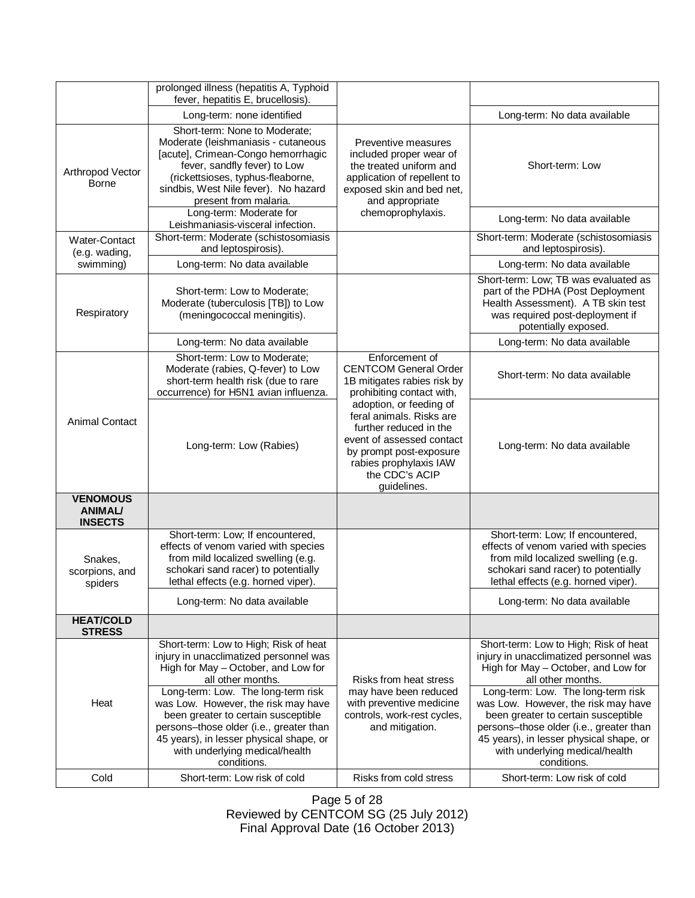|                                                     | prolonged illness (hepatitis A, Typhoid<br>fever, hepatitis E, brucellosis).                                                                                                                                                                                                                                                                                                                           |                                                                                                                                                                                                  |                                                                                                                                                                                                                                                                                                                                                                                                        |
|-----------------------------------------------------|--------------------------------------------------------------------------------------------------------------------------------------------------------------------------------------------------------------------------------------------------------------------------------------------------------------------------------------------------------------------------------------------------------|--------------------------------------------------------------------------------------------------------------------------------------------------------------------------------------------------|--------------------------------------------------------------------------------------------------------------------------------------------------------------------------------------------------------------------------------------------------------------------------------------------------------------------------------------------------------------------------------------------------------|
|                                                     | Long-term: none identified                                                                                                                                                                                                                                                                                                                                                                             |                                                                                                                                                                                                  | Long-term: No data available                                                                                                                                                                                                                                                                                                                                                                           |
| Arthropod Vector<br>Borne                           | Short-term: None to Moderate;<br>Moderate (leishmaniasis - cutaneous<br>[acute], Crimean-Congo hemorrhagic<br>fever, sandfly fever) to Low<br>(rickettsioses, typhus-fleaborne,<br>sindbis, West Nile fever). No hazard<br>present from malaria.                                                                                                                                                       | Preventive measures<br>included proper wear of<br>the treated uniform and<br>application of repellent to<br>exposed skin and bed net,<br>and appropriate                                         | Short-term: Low                                                                                                                                                                                                                                                                                                                                                                                        |
|                                                     | Long-term: Moderate for<br>Leishmaniasis-visceral infection.                                                                                                                                                                                                                                                                                                                                           | chemoprophylaxis.                                                                                                                                                                                | Long-term: No data available                                                                                                                                                                                                                                                                                                                                                                           |
| Water-Contact<br>(e.g. wading,                      | Short-term: Moderate (schistosomiasis<br>and leptospirosis).                                                                                                                                                                                                                                                                                                                                           |                                                                                                                                                                                                  | Short-term: Moderate (schistosomiasis<br>and leptospirosis).                                                                                                                                                                                                                                                                                                                                           |
| swimming)                                           | Long-term: No data available                                                                                                                                                                                                                                                                                                                                                                           |                                                                                                                                                                                                  | Long-term: No data available                                                                                                                                                                                                                                                                                                                                                                           |
| Respiratory                                         | Short-term: Low to Moderate;<br>Moderate (tuberculosis [TB]) to Low<br>(meningococcal meningitis).                                                                                                                                                                                                                                                                                                     |                                                                                                                                                                                                  | Short-term: Low; TB was evaluated as<br>part of the PDHA (Post Deployment<br>Health Assessment). A TB skin test<br>was required post-deployment if<br>potentially exposed.                                                                                                                                                                                                                             |
|                                                     | Long-term: No data available                                                                                                                                                                                                                                                                                                                                                                           |                                                                                                                                                                                                  | Long-term: No data available                                                                                                                                                                                                                                                                                                                                                                           |
| <b>Animal Contact</b>                               | Short-term: Low to Moderate;<br>Moderate (rabies, Q-fever) to Low<br>short-term health risk (due to rare<br>occurrence) for H5N1 avian influenza.                                                                                                                                                                                                                                                      | Enforcement of<br><b>CENTCOM General Order</b><br>1B mitigates rabies risk by<br>prohibiting contact with,                                                                                       | Short-term: No data available                                                                                                                                                                                                                                                                                                                                                                          |
|                                                     | Long-term: Low (Rabies)                                                                                                                                                                                                                                                                                                                                                                                | adoption, or feeding of<br>feral animals. Risks are<br>further reduced in the<br>event of assessed contact<br>by prompt post-exposure<br>rabies prophylaxis IAW<br>the CDC's ACIP<br>guidelines. | Long-term: No data available                                                                                                                                                                                                                                                                                                                                                                           |
| <b>VENOMOUS</b><br><b>ANIMAL/</b><br><b>INSECTS</b> |                                                                                                                                                                                                                                                                                                                                                                                                        |                                                                                                                                                                                                  |                                                                                                                                                                                                                                                                                                                                                                                                        |
| Snakes,<br>scorpions, and<br>spiders                | Short-term: Low; If encountered,<br>effects of venom varied with species<br>from mild localized swelling (e.g.<br>schokari sand racer) to potentially<br>lethal effects (e.g. horned viper).                                                                                                                                                                                                           |                                                                                                                                                                                                  | Short-term: Low; If encountered,<br>effects of venom varied with species<br>from mild localized swelling (e.g.<br>schokari sand racer) to potentially<br>lethal effects (e.g. horned viper).                                                                                                                                                                                                           |
|                                                     | Long-term: No data available                                                                                                                                                                                                                                                                                                                                                                           |                                                                                                                                                                                                  | Long-term: No data available                                                                                                                                                                                                                                                                                                                                                                           |
| <b>HEAT/COLD</b><br><b>STRESS</b>                   |                                                                                                                                                                                                                                                                                                                                                                                                        |                                                                                                                                                                                                  |                                                                                                                                                                                                                                                                                                                                                                                                        |
| Heat                                                | Short-term: Low to High; Risk of heat<br>injury in unacclimatized personnel was<br>High for May - October, and Low for<br>all other months.<br>Long-term: Low. The long-term risk<br>was Low. However, the risk may have<br>been greater to certain susceptible<br>persons-those older (i.e., greater than<br>45 years), in lesser physical shape, or<br>with underlying medical/health<br>conditions. | Risks from heat stress<br>may have been reduced<br>with preventive medicine<br>controls, work-rest cycles,<br>and mitigation.                                                                    | Short-term: Low to High; Risk of heat<br>injury in unacclimatized personnel was<br>High for May - October, and Low for<br>all other months.<br>Long-term: Low. The long-term risk<br>was Low. However, the risk may have<br>been greater to certain susceptible<br>persons-those older (i.e., greater than<br>45 years), in lesser physical shape, or<br>with underlying medical/health<br>conditions. |
| Cold                                                | Short-term: Low risk of cold                                                                                                                                                                                                                                                                                                                                                                           | Risks from cold stress                                                                                                                                                                           | Short-term: Low risk of cold                                                                                                                                                                                                                                                                                                                                                                           |

Page 5 of 28 Reviewed by CENTCOM SG (25 July 2012) Final Approval Date (16 October 2013)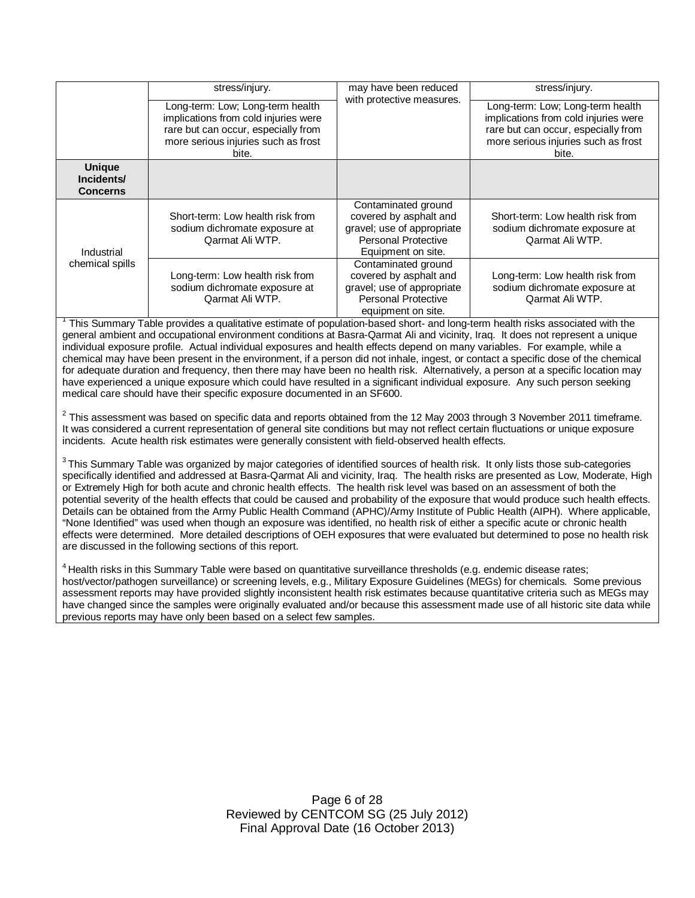|                                                | stress/injury.                                                                                                                                                  | may have been reduced<br>with protective measures.                                                                              | stress/injury.                                                                                                                                                  |
|------------------------------------------------|-----------------------------------------------------------------------------------------------------------------------------------------------------------------|---------------------------------------------------------------------------------------------------------------------------------|-----------------------------------------------------------------------------------------------------------------------------------------------------------------|
|                                                | Long-term: Low; Long-term health<br>implications from cold injuries were<br>rare but can occur, especially from<br>more serious injuries such as frost<br>bite. |                                                                                                                                 | Long-term: Low; Long-term health<br>implications from cold injuries were<br>rare but can occur, especially from<br>more serious injuries such as frost<br>bite. |
| <b>Unique</b><br>Incidents/<br><b>Concerns</b> |                                                                                                                                                                 |                                                                                                                                 |                                                                                                                                                                 |
| Industrial                                     | Short-term: Low health risk from<br>sodium dichromate exposure at<br>Qarmat Ali WTP.                                                                            | Contaminated ground<br>covered by asphalt and<br>gravel; use of appropriate<br><b>Personal Protective</b><br>Equipment on site. | Short-term: Low health risk from<br>sodium dichromate exposure at<br>Qarmat Ali WTP.                                                                            |
| chemical spills                                | Long-term: Low health risk from<br>sodium dichromate exposure at<br>Qarmat Ali WTP.                                                                             | Contaminated ground<br>covered by asphalt and<br>gravel; use of appropriate<br><b>Personal Protective</b><br>equipment on site. | Long-term: Low health risk from<br>sodium dichromate exposure at<br>Qarmat Ali WTP.                                                                             |

1 This Summary Table provides a qualitative estimate of population-based short- and long-term health risks associated with the general ambient and occupational environment conditions at Basra-Qarmat Ali and vicinity, Iraq. It does not represent a unique individual exposure profile. Actual individual exposures and health effects depend on many variables. For example, while a chemical may have been present in the environment, if a person did not inhale, ingest, or contact a specific dose of the chemical for adequate duration and frequency, then there may have been no health risk. Alternatively, a person at a specific location may have experienced a unique exposure which could have resulted in a significant individual exposure. Any such person seeking medical care should have their specific exposure documented in an SF600.

 $^2$  This assessment was based on specific data and reports obtained from the 12 May 2003 through 3 November 2011 timeframe. It was considered a current representation of general site conditions but may not reflect certain fluctuations or unique exposure incidents. Acute health risk estimates were generally consistent with field-observed health effects.

 $^3$ This Summary Table was organized by major categories of identified sources of health risk. It only lists those sub-categories specifically identified and addressed at Basra-Qarmat Ali and vicinity, Iraq. The health risks are presented as Low, Moderate, High or Extremely High for both acute and chronic health effects. The health risk level was based on an assessment of both the potential severity of the health effects that could be caused and probability of the exposure that would produce such health effects. Details can be obtained from the Army Public Health Command (APHC)/Army Institute of Public Health (AIPH). Where applicable, "None Identified" was used when though an exposure was identified, no health risk of either a specific acute or chronic health effects were determined. More detailed descriptions of OEH exposures that were evaluated but determined to pose no health risk are discussed in the following sections of this report.

<sup>4</sup> Health risks in this Summary Table were based on quantitative surveillance thresholds (e.g. endemic disease rates; host/vector/pathogen surveillance) or screening levels, e.g., Military Exposure Guidelines (MEGs) for chemicals*.* Some previous assessment reports may have provided slightly inconsistent health risk estimates because quantitative criteria such as MEGs may have changed since the samples were originally evaluated and/or because this assessment made use of all historic site data while previous reports may have only been based on a select few samples.

> Page 6 of 28 Reviewed by CENTCOM SG (25 July 2012) Final Approval Date (16 October 2013)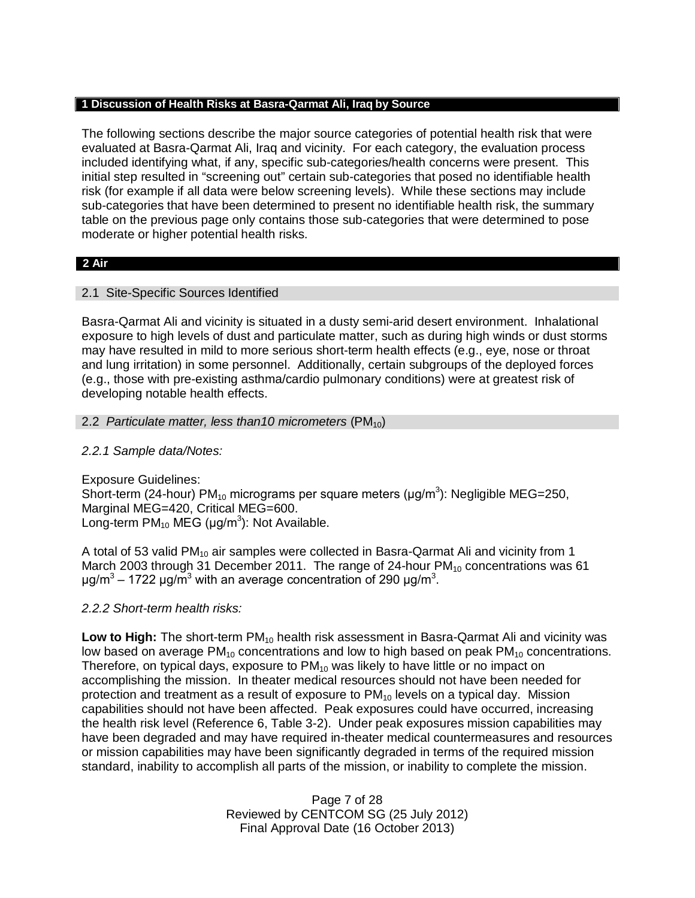#### **1 Discussion of Health Risks at Basra-Qarmat Ali, Iraq by Source**

The following sections describe the major source categories of potential health risk that were evaluated at Basra-Qarmat Ali, Iraq and vicinity. For each category, the evaluation process included identifying what, if any, specific sub-categories/health concerns were present. This initial step resulted in "screening out" certain sub-categories that posed no identifiable health risk (for example if all data were below screening levels). While these sections may include sub-categories that have been determined to present no identifiable health risk, the summary table on the previous page only contains those sub-categories that were determined to pose moderate or higher potential health risks.

#### **2 Air**

## 2.1 Site-Specific Sources Identified

Basra-Qarmat Ali and vicinity is situated in a dusty semi-arid desert environment. Inhalational exposure to high levels of dust and particulate matter, such as during high winds or dust storms may have resulted in mild to more serious short-term health effects (e.g., eye, nose or throat and lung irritation) in some personnel. Additionally, certain subgroups of the deployed forces (e.g., those with pre-existing asthma/cardio pulmonary conditions) were at greatest risk of developing notable health effects.

### 2.2 *Particulate matter, less than10 micrometers* (PM<sub>10</sub>)

## *2.2.1 Sample data/Notes:*

Exposure Guidelines: Short-term (24-hour) PM<sub>10</sub> micrograms per square meters ( $\mu$ g/m<sup>3</sup>): Negligible MEG=250, Marginal MEG=420, Critical MEG=600. Long-term  $PM_{10}$  MEG (µg/m<sup>3</sup>): Not Available.

A total of 53 valid PM<sub>10</sub> air samples were collected in Basra-Qarmat Ali and vicinity from 1 March 2003 through 31 December 2011. The range of 24-hour  $PM_{10}$  concentrations was 61 μg/m<sup>3</sup> – 1722 μg/m<sup>3</sup> with an average concentration of 290 μg/m<sup>3</sup>.

## *2.2.2 Short-term health risks:*

**Low to High:** The short-term PM<sub>10</sub> health risk assessment in Basra-Qarmat Ali and vicinity was low based on average  $PM_{10}$  concentrations and low to high based on peak  $PM_{10}$  concentrations. Therefore, on typical days, exposure to  $PM_{10}$  was likely to have little or no impact on accomplishing the mission. In theater medical resources should not have been needed for protection and treatment as a result of exposure to  $PM_{10}$  levels on a typical day. Mission capabilities should not have been affected. Peak exposures could have occurred, increasing the health risk level (Reference 6, Table 3-2). Under peak exposures mission capabilities may have been degraded and may have required in-theater medical countermeasures and resources or mission capabilities may have been significantly degraded in terms of the required mission standard, inability to accomplish all parts of the mission, or inability to complete the mission.

> Page 7 of 28 Reviewed by CENTCOM SG (25 July 2012) Final Approval Date (16 October 2013)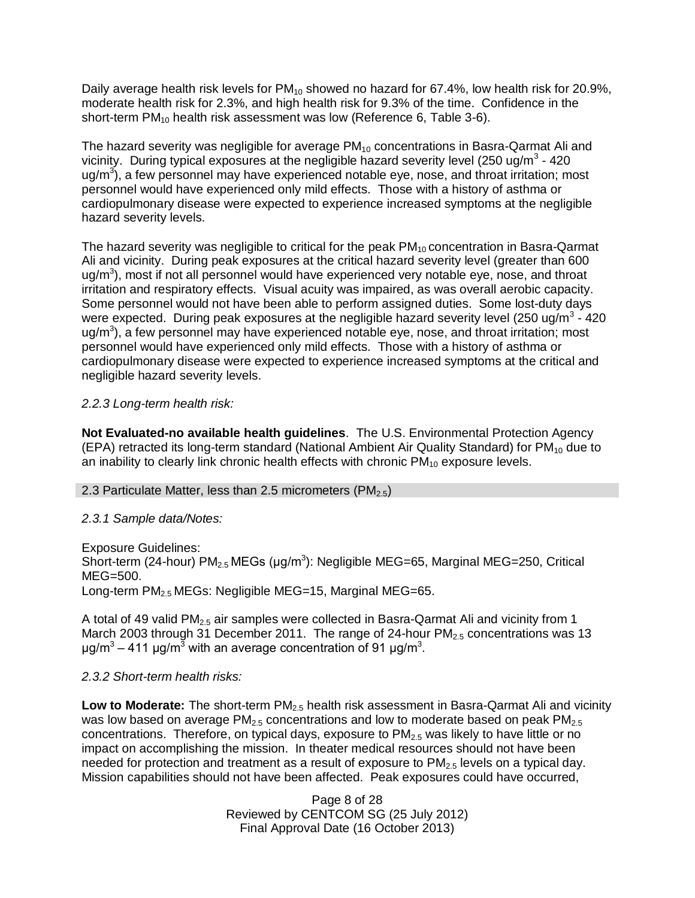Daily average health risk levels for  $PM_{10}$  showed no hazard for 67.4%, low health risk for 20.9%, moderate health risk for 2.3%, and high health risk for 9.3% of the time. Confidence in the short-term PM<sub>10</sub> health risk assessment was low (Reference 6, Table 3-6).

The hazard severity was negligible for average  $PM_{10}$  concentrations in Basra-Qarmat Ali and vicinity. During typical exposures at the negligible hazard severity level (250 ug/m<sup>3</sup> - 420 ug/m<sup>3</sup>), a few personnel may have experienced notable eye, nose, and throat irritation; most personnel would have experienced only mild effects. Those with a history of asthma or cardiopulmonary disease were expected to experience increased symptoms at the negligible hazard severity levels.

The hazard severity was negligible to critical for the peak  $PM_{10}$  concentration in Basra-Qarmat Ali and vicinity. During peak exposures at the critical hazard severity level (greater than 600 ug/m<sup>3</sup>), most if not all personnel would have experienced very notable eye, nose, and throat irritation and respiratory effects. Visual acuity was impaired, as was overall aerobic capacity. Some personnel would not have been able to perform assigned duties. Some lost-duty days were expected. During peak exposures at the negligible hazard severity level (250 ug/m<sup>3</sup> - 420 ug/m<sup>3</sup>), a few personnel may have experienced notable eye, nose, and throat irritation; most personnel would have experienced only mild effects. Those with a history of asthma or cardiopulmonary disease were expected to experience increased symptoms at the critical and negligible hazard severity levels.

# *2.2.3 Long-term health risk:*

**Not Evaluated-no available health guidelines**. The U.S. Environmental Protection Agency (EPA) retracted its long-term standard (National Ambient Air Quality Standard) for  $PM_{10}$  due to an inability to clearly link chronic health effects with chronic  $PM_{10}$  exposure levels.

## 2.3 Particulate Matter, less than 2.5 micrometers ( $PM<sub>2.5</sub>$ )

## *2.3.1 Sample data/Notes:*

Exposure Guidelines: Short-term (24-hour)  $PM_{2.5}$  MEGs (µg/m<sup>3</sup>): Negligible MEG=65, Marginal MEG=250, Critical MEG=500. Long-term PM<sub>2.5</sub> MEGs: Negligible MEG=15, Marginal MEG=65.

A total of 49 valid PM<sub>2.5</sub> air samples were collected in Basra-Qarmat Ali and vicinity from 1 March 2003 through 31 December 2011. The range of 24-hour  $PM<sub>2.5</sub>$  concentrations was 13 μg/m<sup>3</sup> – 411 μg/m<sup>3</sup> with an average concentration of 91 μg/m<sup>3</sup>.

## *2.3.2 Short-term health risks:*

Low to Moderate: The short-term PM<sub>2.5</sub> health risk assessment in Basra-Qarmat Ali and vicinity was low based on average  $PM<sub>2.5</sub>$  concentrations and low to moderate based on peak  $PM<sub>2.5</sub>$ concentrations. Therefore, on typical days, exposure to  $PM_{2.5}$  was likely to have little or no impact on accomplishing the mission. In theater medical resources should not have been needed for protection and treatment as a result of exposure to  $PM<sub>2.5</sub>$  levels on a typical day. Mission capabilities should not have been affected. Peak exposures could have occurred,

> Page 8 of 28 Reviewed by CENTCOM SG (25 July 2012) Final Approval Date (16 October 2013)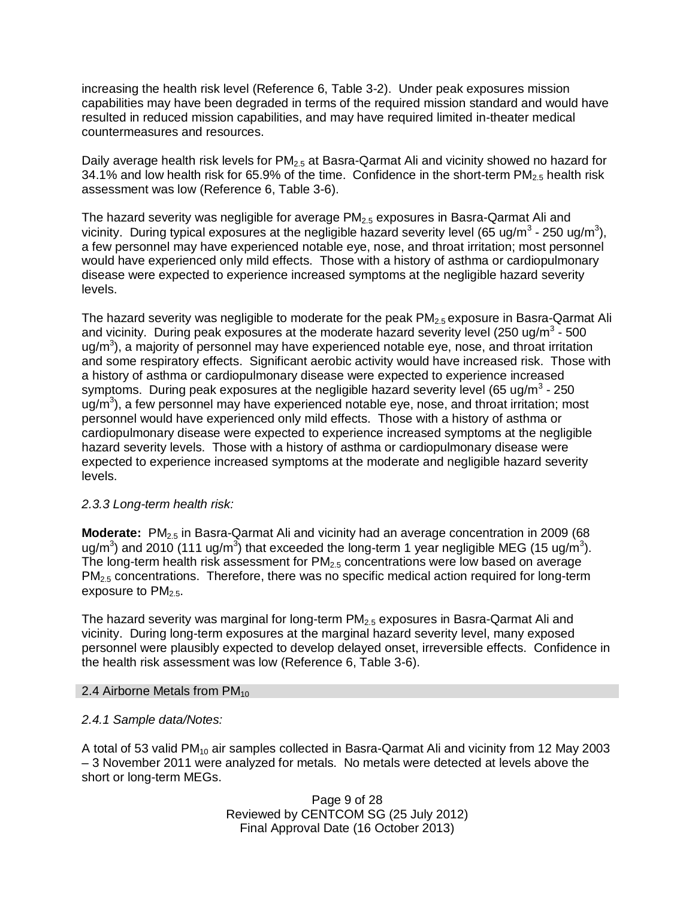increasing the health risk level (Reference 6, Table 3-2). Under peak exposures mission capabilities may have been degraded in terms of the required mission standard and would have resulted in reduced mission capabilities, and may have required limited in-theater medical countermeasures and resources.

Daily average health risk levels for  $PM<sub>2.5</sub>$  at Basra-Qarmat Ali and vicinity showed no hazard for 34.1% and low health risk for 65.9% of the time. Confidence in the short-term  $PM_{2.5}$  health risk assessment was low (Reference 6, Table 3-6).

The hazard severity was negligible for average PM<sub>2.5</sub> exposures in Basra-Qarmat Ali and vicinity. During typical exposures at the negligible hazard severity level (65 ug/m<sup>3</sup> - 250 ug/m<sup>3</sup>), a few personnel may have experienced notable eye, nose, and throat irritation; most personnel would have experienced only mild effects. Those with a history of asthma or cardiopulmonary disease were expected to experience increased symptoms at the negligible hazard severity levels.

The hazard severity was negligible to moderate for the peak  $PM<sub>2.5</sub>$  exposure in Basra-Qarmat Ali and vicinity. During peak exposures at the moderate hazard severity level (250 ug/m<sup>3</sup> - 500 ug/m<sup>3</sup>), a majority of personnel may have experienced notable eye, nose, and throat irritation and some respiratory effects. Significant aerobic activity would have increased risk. Those with a history of asthma or cardiopulmonary disease were expected to experience increased symptoms. During peak exposures at the negligible hazard severity level (65 ug/m<sup>3</sup> - 250 ug/m<sup>3</sup>), a few personnel may have experienced notable eye, nose, and throat irritation; most personnel would have experienced only mild effects. Those with a history of asthma or cardiopulmonary disease were expected to experience increased symptoms at the negligible hazard severity levels. Those with a history of asthma or cardiopulmonary disease were expected to experience increased symptoms at the moderate and negligible hazard severity levels.

## *2.3.3 Long-term health risk:*

**Moderate:** PM<sub>2.5</sub> in Basra-Qarmat Ali and vicinity had an average concentration in 2009 (68 ug/m<sup>3</sup>) and 2010 (111 ug/m<sup>3</sup>) that exceeded the long-term 1 year negligible MEG (15 ug/m<sup>3</sup>). The long-term health risk assessment for  $PM_{2.5}$  concentrations were low based on average  $PM<sub>2.5</sub>$  concentrations. Therefore, there was no specific medical action required for long-term exposure to  $PM_{2.5}$ .

The hazard severity was marginal for long-term  $PM_{2.5}$  exposures in Basra-Qarmat Ali and vicinity. During long-term exposures at the marginal hazard severity level, many exposed personnel were plausibly expected to develop delayed onset, irreversible effects. Confidence in the health risk assessment was low (Reference 6, Table 3-6).

## 2.4 Airborne Metals from  $PM_{10}$

## *2.4.1 Sample data/Notes:*

A total of 53 valid  $PM_{10}$  air samples collected in Basra-Qarmat Ali and vicinity from 12 May 2003 – 3 November 2011 were analyzed for metals. No metals were detected at levels above the short or long-term MEGs.

> Page 9 of 28 Reviewed by CENTCOM SG (25 July 2012) Final Approval Date (16 October 2013)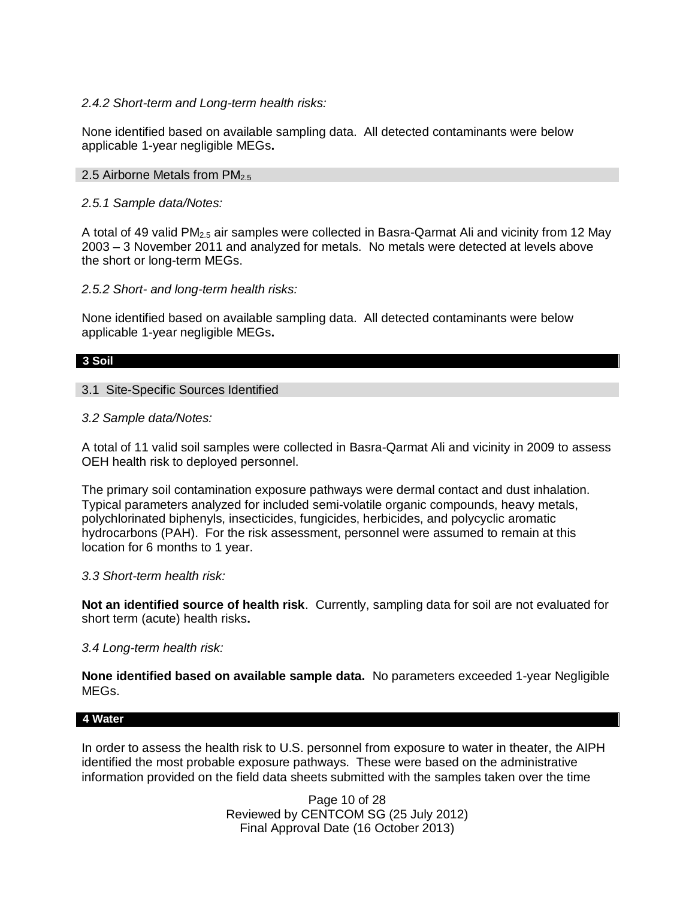### *2.4.2 Short-term and Long-term health risks:*

None identified based on available sampling data. All detected contaminants were below applicable 1-year negligible MEGs**.**

### 2.5 Airborne Metals from  $PM<sub>2.5</sub>$

*2.5.1 Sample data/Notes:*

A total of 49 valid PM<sub>2.5</sub> air samples were collected in Basra-Qarmat Ali and vicinity from 12 May 2003 – 3 November 2011 and analyzed for metals. No metals were detected at levels above the short or long-term MEGs.

### *2.5.2 Short- and long-term health risks:*

None identified based on available sampling data. All detected contaminants were below applicable 1-year negligible MEGs**.**

#### **3 Soil**

3.1 Site-Specific Sources Identified

*3.2 Sample data/Notes:*

A total of 11 valid soil samples were collected in Basra-Qarmat Ali and vicinity in 2009 to assess OEH health risk to deployed personnel.

The primary soil contamination exposure pathways were dermal contact and dust inhalation. Typical parameters analyzed for included semi-volatile organic compounds, heavy metals, polychlorinated biphenyls, insecticides, fungicides, herbicides, and polycyclic aromatic hydrocarbons (PAH). For the risk assessment, personnel were assumed to remain at this location for 6 months to 1 year.

#### *3.3 Short-term health risk:*

**Not an identified source of health risk**. Currently, sampling data for soil are not evaluated for short term (acute) health risks**.**

## *3.4 Long-term health risk:*

**None identified based on available sample data.** No parameters exceeded 1-year Negligible MEGs.

#### **4 Water**

In order to assess the health risk to U.S. personnel from exposure to water in theater, the AIPH identified the most probable exposure pathways. These were based on the administrative information provided on the field data sheets submitted with the samples taken over the time

> Page 10 of 28 Reviewed by CENTCOM SG (25 July 2012) Final Approval Date (16 October 2013)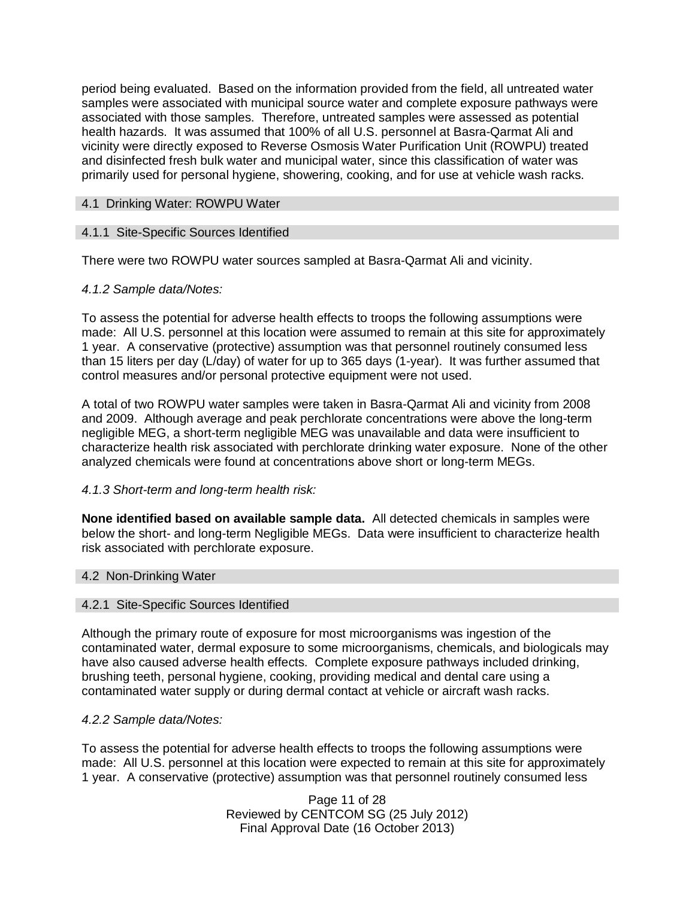period being evaluated. Based on the information provided from the field, all untreated water samples were associated with municipal source water and complete exposure pathways were associated with those samples. Therefore, untreated samples were assessed as potential health hazards. It was assumed that 100% of all U.S. personnel at Basra-Qarmat Ali and vicinity were directly exposed to Reverse Osmosis Water Purification Unit (ROWPU) treated and disinfected fresh bulk water and municipal water, since this classification of water was primarily used for personal hygiene, showering, cooking, and for use at vehicle wash racks.

## 4.1 Drinking Water: ROWPU Water

### 4.1.1 Site-Specific Sources Identified

There were two ROWPU water sources sampled at Basra-Qarmat Ali and vicinity.

### *4.1.2 Sample data/Notes:*

To assess the potential for adverse health effects to troops the following assumptions were made: All U.S. personnel at this location were assumed to remain at this site for approximately 1 year. A conservative (protective) assumption was that personnel routinely consumed less than 15 liters per day (L/day) of water for up to 365 days (1-year). It was further assumed that control measures and/or personal protective equipment were not used.

A total of two ROWPU water samples were taken in Basra-Qarmat Ali and vicinity from 2008 and 2009. Although average and peak perchlorate concentrations were above the long-term negligible MEG, a short-term negligible MEG was unavailable and data were insufficient to characterize health risk associated with perchlorate drinking water exposure. None of the other analyzed chemicals were found at concentrations above short or long-term MEGs.

## *4.1.3 Short-term and long-term health risk:*

**None identified based on available sample data.** All detected chemicals in samples were below the short- and long-term Negligible MEGs. Data were insufficient to characterize health risk associated with perchlorate exposure.

#### 4.2 Non-Drinking Water

#### 4.2.1 Site-Specific Sources Identified

Although the primary route of exposure for most microorganisms was ingestion of the contaminated water, dermal exposure to some microorganisms, chemicals, and biologicals may have also caused adverse health effects. Complete exposure pathways included drinking, brushing teeth, personal hygiene, cooking, providing medical and dental care using a contaminated water supply or during dermal contact at vehicle or aircraft wash racks.

#### *4.2.2 Sample data/Notes:*

To assess the potential for adverse health effects to troops the following assumptions were made: All U.S. personnel at this location were expected to remain at this site for approximately 1 year. A conservative (protective) assumption was that personnel routinely consumed less

> Page 11 of 28 Reviewed by CENTCOM SG (25 July 2012) Final Approval Date (16 October 2013)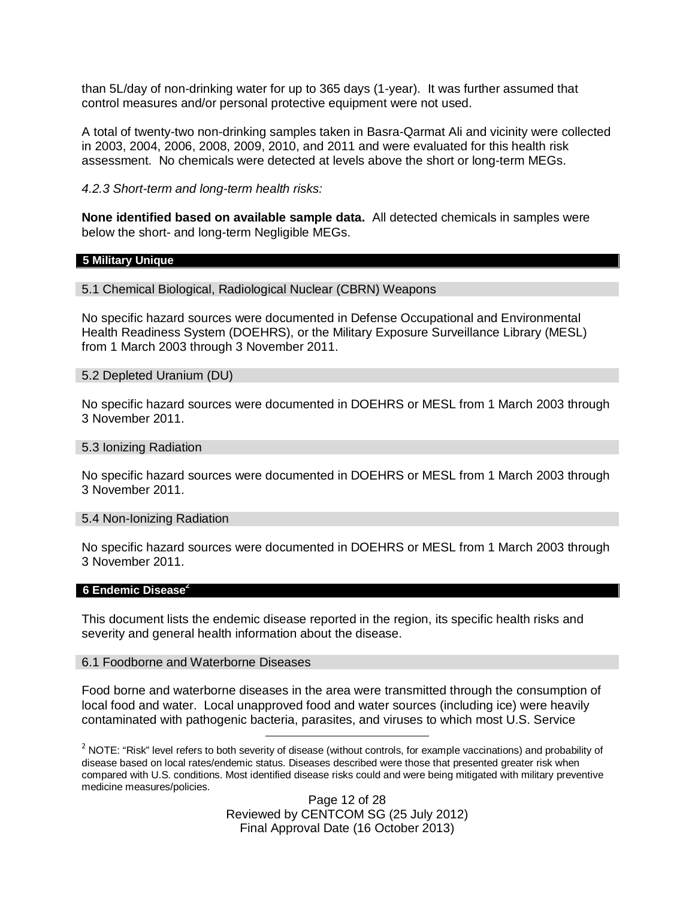than 5L/day of non-drinking water for up to 365 days (1-year). It was further assumed that control measures and/or personal protective equipment were not used.

A total of twenty-two non-drinking samples taken in Basra-Qarmat Ali and vicinity were collected in 2003, 2004, 2006, 2008, 2009, 2010, and 2011 and were evaluated for this health risk assessment. No chemicals were detected at levels above the short or long-term MEGs.

*4.2.3 Short-term and long-term health risks:*

**None identified based on available sample data.** All detected chemicals in samples were below the short- and long-term Negligible MEGs.

#### **5 Military Unique**

5.1 Chemical Biological, Radiological Nuclear (CBRN) Weapons

No specific hazard sources were documented in Defense Occupational and Environmental Health Readiness System (DOEHRS), or the Military Exposure Surveillance Library (MESL) from 1 March 2003 through 3 November 2011.

#### 5.2 Depleted Uranium (DU)

No specific hazard sources were documented in DOEHRS or MESL from 1 March 2003 through 3 November 2011.

#### 5.3 Ionizing Radiation

No specific hazard sources were documented in DOEHRS or MESL from 1 March 2003 through 3 November 2011.

#### 5.4 Non-Ionizing Radiation

No specific hazard sources were documented in DOEHRS or MESL from 1 March 2003 through 3 November 2011.

#### **6 Endemic Disease<sup>2</sup>**

This document lists the endemic disease reported in the region, its specific health risks and severity and general health information about the disease.

#### 6.1 Foodborne and Waterborne Diseases

Food borne and waterborne diseases in the area were transmitted through the consumption of local food and water. Local unapproved food and water sources (including ice) were heavily contaminated with pathogenic bacteria, parasites, and viruses to which most U.S. Service

Page 12 of 28 Reviewed by CENTCOM SG (25 July 2012) Final Approval Date (16 October 2013)

 $^2$  NOTE: "Risk" level refers to both severity of disease (without controls, for example vaccinations) and probability of disease based on local rates/endemic status. Diseases described were those that presented greater risk when compared with U.S. conditions. Most identified disease risks could and were being mitigated with military preventive medicine measures/policies.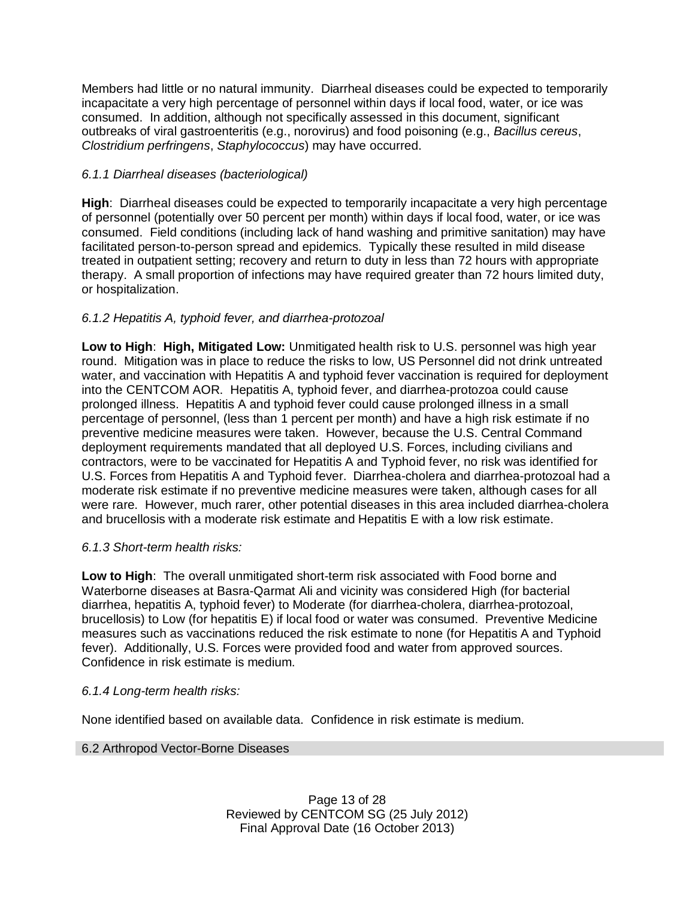Members had little or no natural immunity. Diarrheal diseases could be expected to temporarily incapacitate a very high percentage of personnel within days if local food, water, or ice was consumed. In addition, although not specifically assessed in this document, significant outbreaks of viral gastroenteritis (e.g., norovirus) and food poisoning (e.g., *Bacillus cereus*, *Clostridium perfringens*, *Staphylococcus*) may have occurred.

# *6.1.1 Diarrheal diseases (bacteriological)*

**High**: Diarrheal diseases could be expected to temporarily incapacitate a very high percentage of personnel (potentially over 50 percent per month) within days if local food, water, or ice was consumed. Field conditions (including lack of hand washing and primitive sanitation) may have facilitated person-to-person spread and epidemics. Typically these resulted in mild disease treated in outpatient setting; recovery and return to duty in less than 72 hours with appropriate therapy. A small proportion of infections may have required greater than 72 hours limited duty, or hospitalization.

# *6.1.2 Hepatitis A, typhoid fever, and diarrhea-protozoal*

**Low to High**: **High, Mitigated Low:** Unmitigated health risk to U.S. personnel was high year round. Mitigation was in place to reduce the risks to low, US Personnel did not drink untreated water, and vaccination with Hepatitis A and typhoid fever vaccination is required for deployment into the CENTCOM AOR. Hepatitis A, typhoid fever, and diarrhea-protozoa could cause prolonged illness. Hepatitis A and typhoid fever could cause prolonged illness in a small percentage of personnel, (less than 1 percent per month) and have a high risk estimate if no preventive medicine measures were taken. However, because the U.S. Central Command deployment requirements mandated that all deployed U.S. Forces, including civilians and contractors, were to be vaccinated for Hepatitis A and Typhoid fever, no risk was identified for U.S. Forces from Hepatitis A and Typhoid fever. Diarrhea-cholera and diarrhea-protozoal had a moderate risk estimate if no preventive medicine measures were taken, although cases for all were rare. However, much rarer, other potential diseases in this area included diarrhea-cholera and brucellosis with a moderate risk estimate and Hepatitis E with a low risk estimate.

# *6.1.3 Short-term health risks:*

**Low to High**: The overall unmitigated short-term risk associated with Food borne and Waterborne diseases at Basra-Qarmat Ali and vicinity was considered High (for bacterial diarrhea, hepatitis A, typhoid fever) to Moderate (for diarrhea-cholera, diarrhea-protozoal, brucellosis) to Low (for hepatitis E) if local food or water was consumed. Preventive Medicine measures such as vaccinations reduced the risk estimate to none (for Hepatitis A and Typhoid fever). Additionally, U.S. Forces were provided food and water from approved sources. Confidence in risk estimate is medium.

# *6.1.4 Long-term health risks:*

None identified based on available data. Confidence in risk estimate is medium.

## 6.2 Arthropod Vector-Borne Diseases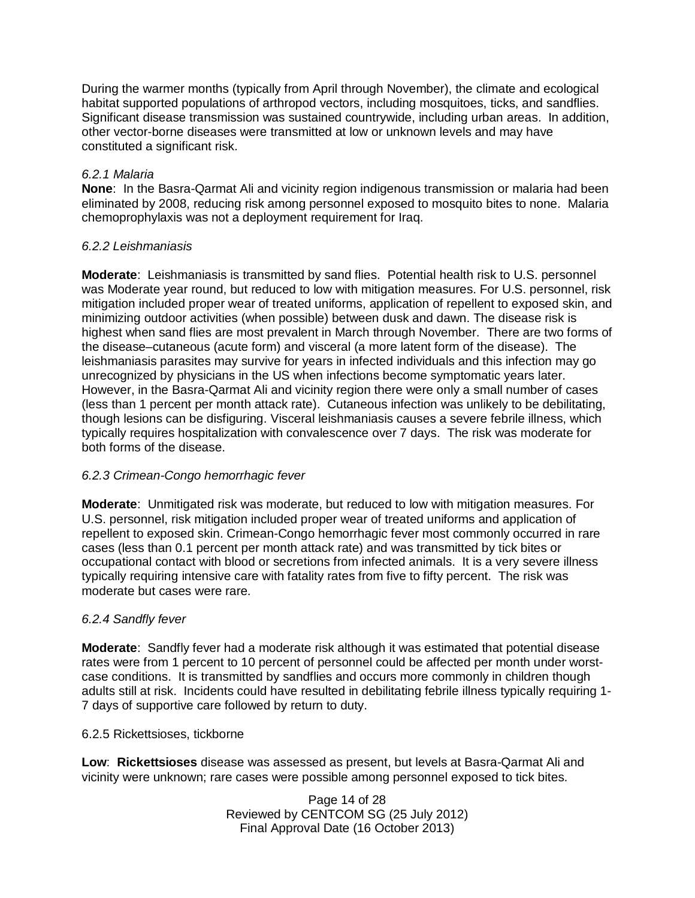During the warmer months (typically from April through November), the climate and ecological habitat supported populations of arthropod vectors, including mosquitoes, ticks, and sandflies. Significant disease transmission was sustained countrywide, including urban areas. In addition, other vector-borne diseases were transmitted at low or unknown levels and may have constituted a significant risk.

## *6.2.1 Malaria*

**None**: In the Basra-Qarmat Ali and vicinity region indigenous transmission or malaria had been eliminated by 2008, reducing risk among personnel exposed to mosquito bites to none. Malaria chemoprophylaxis was not a deployment requirement for Iraq.

# *6.2.2 Leishmaniasis*

**Moderate**: Leishmaniasis is transmitted by sand flies. Potential health risk to U.S. personnel was Moderate year round, but reduced to low with mitigation measures. For U.S. personnel, risk mitigation included proper wear of treated uniforms, application of repellent to exposed skin, and minimizing outdoor activities (when possible) between dusk and dawn. The disease risk is highest when sand flies are most prevalent in March through November. There are two forms of the disease–cutaneous (acute form) and visceral (a more latent form of the disease). The leishmaniasis parasites may survive for years in infected individuals and this infection may go unrecognized by physicians in the US when infections become symptomatic years later. However, in the Basra-Qarmat Ali and vicinity region there were only a small number of cases (less than 1 percent per month attack rate). Cutaneous infection was unlikely to be debilitating, though lesions can be disfiguring. Visceral leishmaniasis causes a severe febrile illness, which typically requires hospitalization with convalescence over 7 days. The risk was moderate for both forms of the disease.

# *6.2.3 Crimean-Congo hemorrhagic fever*

**Moderate**: Unmitigated risk was moderate, but reduced to low with mitigation measures. For U.S. personnel, risk mitigation included proper wear of treated uniforms and application of repellent to exposed skin. Crimean-Congo hemorrhagic fever most commonly occurred in rare cases (less than 0.1 percent per month attack rate) and was transmitted by tick bites or occupational contact with blood or secretions from infected animals. It is a very severe illness typically requiring intensive care with fatality rates from five to fifty percent. The risk was moderate but cases were rare.

## *6.2.4 Sandfly fever*

**Moderate**: Sandfly fever had a moderate risk although it was estimated that potential disease rates were from 1 percent to 10 percent of personnel could be affected per month under worstcase conditions. It is transmitted by sandflies and occurs more commonly in children though adults still at risk. Incidents could have resulted in debilitating febrile illness typically requiring 1- 7 days of supportive care followed by return to duty.

## 6.2.5 Rickettsioses, tickborne

**Low**: **Rickettsioses** disease was assessed as present, but levels at Basra-Qarmat Ali and vicinity were unknown; rare cases were possible among personnel exposed to tick bites.

> Page 14 of 28 Reviewed by CENTCOM SG (25 July 2012) Final Approval Date (16 October 2013)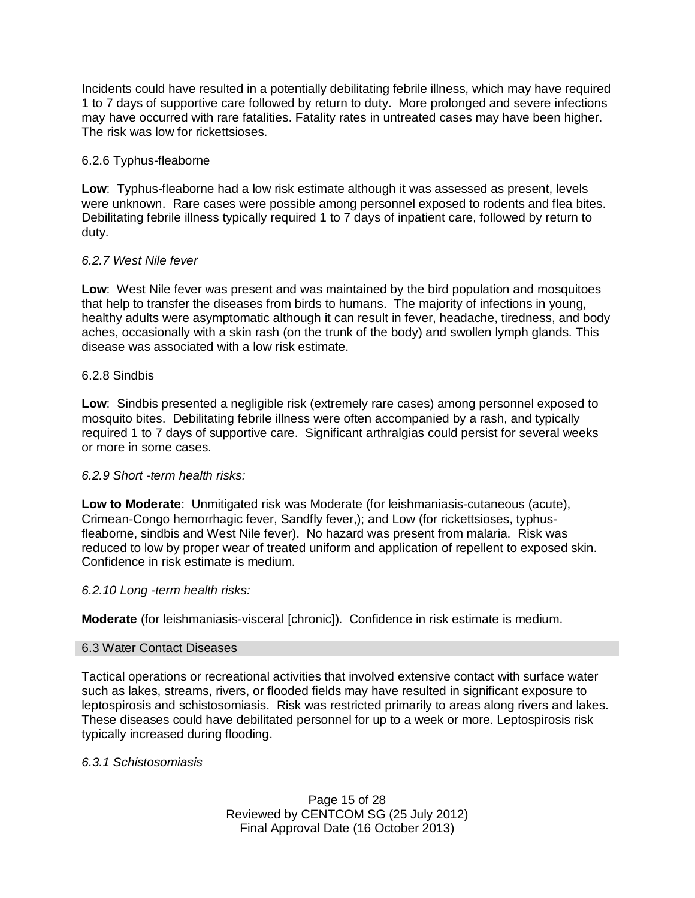Incidents could have resulted in a potentially debilitating febrile illness, which may have required 1 to 7 days of supportive care followed by return to duty. More prolonged and severe infections may have occurred with rare fatalities. Fatality rates in untreated cases may have been higher. The risk was low for rickettsioses.

### 6.2.6 Typhus-fleaborne

**Low**: Typhus-fleaborne had a low risk estimate although it was assessed as present, levels were unknown. Rare cases were possible among personnel exposed to rodents and flea bites. Debilitating febrile illness typically required 1 to 7 days of inpatient care, followed by return to duty.

### *6.2.7 West Nile fever*

**Low**: West Nile fever was present and was maintained by the bird population and mosquitoes that help to transfer the diseases from birds to humans. The majority of infections in young, healthy adults were asymptomatic although it can result in fever, headache, tiredness, and body aches, occasionally with a skin rash (on the trunk of the body) and swollen lymph glands. This disease was associated with a low risk estimate.

### 6.2.8 Sindbis

**Low**: Sindbis presented a negligible risk (extremely rare cases) among personnel exposed to mosquito bites. Debilitating febrile illness were often accompanied by a rash, and typically required 1 to 7 days of supportive care. Significant arthralgias could persist for several weeks or more in some cases.

## *6.2.9 Short -term health risks:*

**Low to Moderate**: Unmitigated risk was Moderate (for leishmaniasis-cutaneous (acute), Crimean-Congo hemorrhagic fever, Sandfly fever,); and Low (for rickettsioses, typhusfleaborne, sindbis and West Nile fever). No hazard was present from malaria. Risk was reduced to low by proper wear of treated uniform and application of repellent to exposed skin. Confidence in risk estimate is medium.

#### *6.2.10 Long -term health risks:*

**Moderate** (for leishmaniasis-visceral [chronic]). Confidence in risk estimate is medium.

#### 6.3 Water Contact Diseases

Tactical operations or recreational activities that involved extensive contact with surface water such as lakes, streams, rivers, or flooded fields may have resulted in significant exposure to leptospirosis and schistosomiasis. Risk was restricted primarily to areas along rivers and lakes. These diseases could have debilitated personnel for up to a week or more. Leptospirosis risk typically increased during flooding.

#### *6.3.1 Schistosomiasis*

Page 15 of 28 Reviewed by CENTCOM SG (25 July 2012) Final Approval Date (16 October 2013)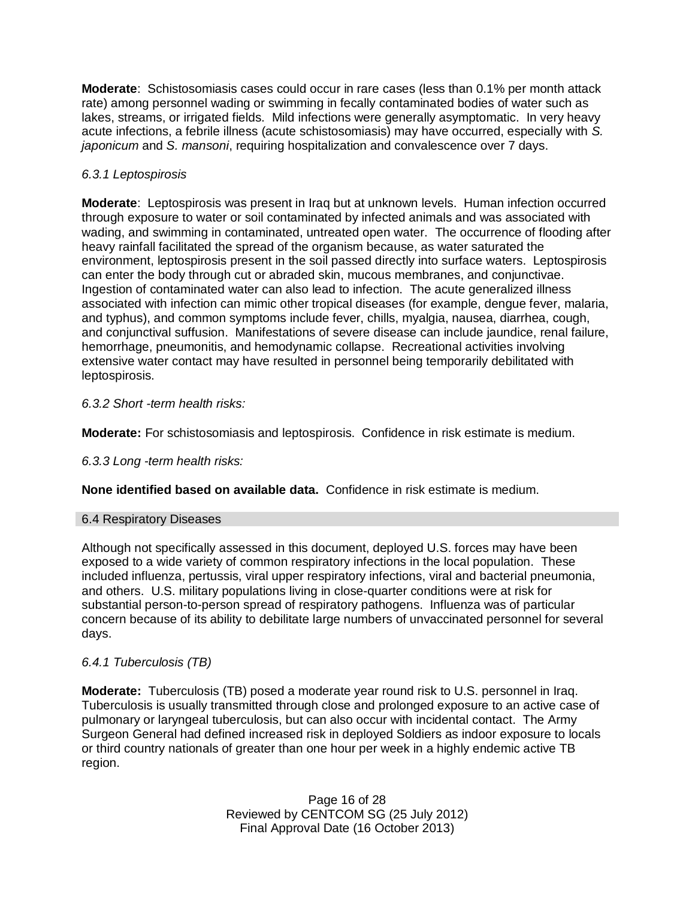**Moderate**: Schistosomiasis cases could occur in rare cases (less than 0.1% per month attack rate) among personnel wading or swimming in fecally contaminated bodies of water such as lakes, streams, or irrigated fields. Mild infections were generally asymptomatic. In very heavy acute infections, a febrile illness (acute schistosomiasis) may have occurred, especially with *S. japonicum* and *S. mansoni*, requiring hospitalization and convalescence over 7 days.

# *6.3.1 Leptospirosis*

**Moderate**: Leptospirosis was present in Iraq but at unknown levels. Human infection occurred through exposure to water or soil contaminated by infected animals and was associated with wading, and swimming in contaminated, untreated open water. The occurrence of flooding after heavy rainfall facilitated the spread of the organism because, as water saturated the environment, leptospirosis present in the soil passed directly into surface waters. Leptospirosis can enter the body through cut or abraded skin, mucous membranes, and conjunctivae. Ingestion of contaminated water can also lead to infection. The acute generalized illness associated with infection can mimic other tropical diseases (for example, dengue fever, malaria, and typhus), and common symptoms include fever, chills, myalgia, nausea, diarrhea, cough, and conjunctival suffusion. Manifestations of severe disease can include jaundice, renal failure, hemorrhage, pneumonitis, and hemodynamic collapse. Recreational activities involving extensive water contact may have resulted in personnel being temporarily debilitated with leptospirosis.

# *6.3.2 Short -term health risks:*

**Moderate:** For schistosomiasis and leptospirosis. Confidence in risk estimate is medium.

## *6.3.3 Long -term health risks:*

**None identified based on available data.** Confidence in risk estimate is medium.

## 6.4 Respiratory Diseases

Although not specifically assessed in this document, deployed U.S. forces may have been exposed to a wide variety of common respiratory infections in the local population. These included influenza, pertussis, viral upper respiratory infections, viral and bacterial pneumonia, and others. U.S. military populations living in close-quarter conditions were at risk for substantial person-to-person spread of respiratory pathogens. Influenza was of particular concern because of its ability to debilitate large numbers of unvaccinated personnel for several days.

## *6.4.1 Tuberculosis (TB)*

**Moderate:** Tuberculosis (TB) posed a moderate year round risk to U.S. personnel in Iraq. Tuberculosis is usually transmitted through close and prolonged exposure to an active case of pulmonary or laryngeal tuberculosis, but can also occur with incidental contact. The Army Surgeon General had defined increased risk in deployed Soldiers as indoor exposure to locals or third country nationals of greater than one hour per week in a highly endemic active TB region.

> Page 16 of 28 Reviewed by CENTCOM SG (25 July 2012) Final Approval Date (16 October 2013)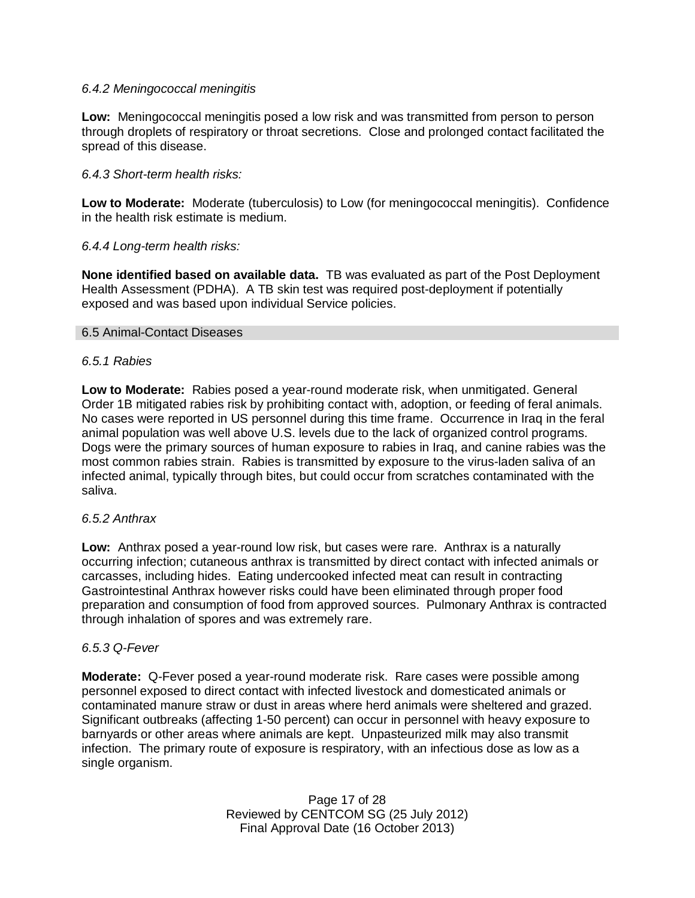### *6.4.2 Meningococcal meningitis*

**Low:** Meningococcal meningitis posed a low risk and was transmitted from person to person through droplets of respiratory or throat secretions. Close and prolonged contact facilitated the spread of this disease.

### *6.4.3 Short-term health risks:*

**Low to Moderate:** Moderate (tuberculosis) to Low (for meningococcal meningitis). Confidence in the health risk estimate is medium.

### *6.4.4 Long-term health risks:*

**None identified based on available data.** TB was evaluated as part of the Post Deployment Health Assessment (PDHA). A TB skin test was required post-deployment if potentially exposed and was based upon individual Service policies.

#### 6.5 Animal-Contact Diseases

#### *6.5.1 Rabies*

**Low to Moderate:** Rabies posed a year-round moderate risk, when unmitigated. General Order 1B mitigated rabies risk by prohibiting contact with, adoption, or feeding of feral animals. No cases were reported in US personnel during this time frame. Occurrence in Iraq in the feral animal population was well above U.S. levels due to the lack of organized control programs. Dogs were the primary sources of human exposure to rabies in Iraq, and canine rabies was the most common rabies strain. Rabies is transmitted by exposure to the virus-laden saliva of an infected animal, typically through bites, but could occur from scratches contaminated with the saliva.

#### *6.5.2 Anthrax*

**Low:** Anthrax posed a year-round low risk, but cases were rare. Anthrax is a naturally occurring infection; cutaneous anthrax is transmitted by direct contact with infected animals or carcasses, including hides. Eating undercooked infected meat can result in contracting Gastrointestinal Anthrax however risks could have been eliminated through proper food preparation and consumption of food from approved sources. Pulmonary Anthrax is contracted through inhalation of spores and was extremely rare.

#### *6.5.3 Q-Fever*

**Moderate:** Q-Fever posed a year-round moderate risk. Rare cases were possible among personnel exposed to direct contact with infected livestock and domesticated animals or contaminated manure straw or dust in areas where herd animals were sheltered and grazed. Significant outbreaks (affecting 1-50 percent) can occur in personnel with heavy exposure to barnyards or other areas where animals are kept. Unpasteurized milk may also transmit infection. The primary route of exposure is respiratory, with an infectious dose as low as a single organism.

> Page 17 of 28 Reviewed by CENTCOM SG (25 July 2012) Final Approval Date (16 October 2013)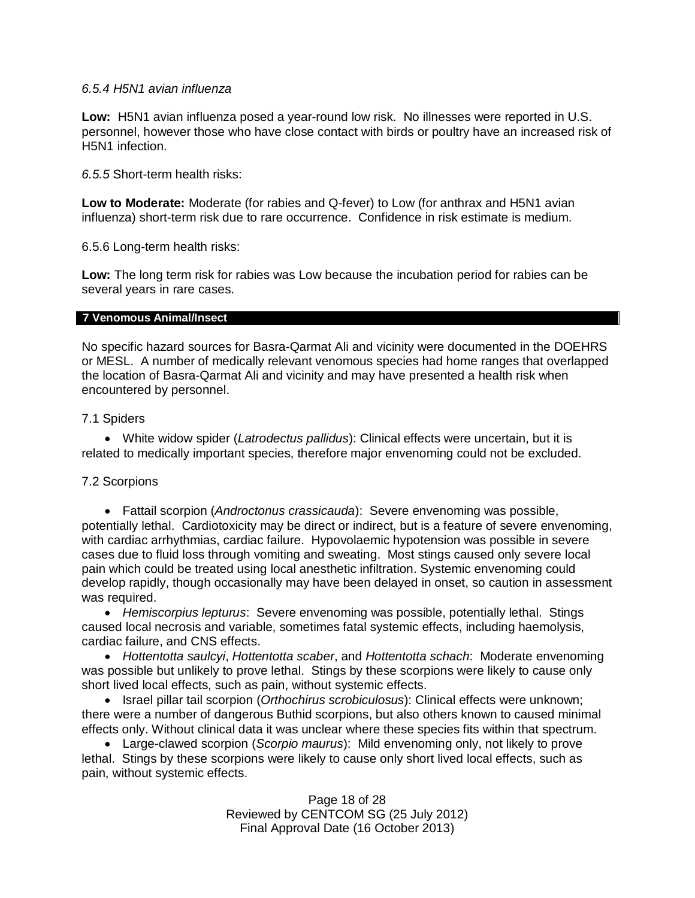### *6.5.4 H5N1 avian influenza*

**Low:** H5N1 avian influenza posed a year-round low risk. No illnesses were reported in U.S. personnel, however those who have close contact with birds or poultry have an increased risk of H5N1 infection.

*6.5.5* Short-term health risks:

**Low to Moderate:** Moderate (for rabies and Q-fever) to Low (for anthrax and H5N1 avian influenza) short-term risk due to rare occurrence. Confidence in risk estimate is medium.

6.5.6 Long-term health risks:

**Low:** The long term risk for rabies was Low because the incubation period for rabies can be several years in rare cases.

#### **7 Venomous Animal/Insect**

No specific hazard sources for Basra-Qarmat Ali and vicinity were documented in the DOEHRS or MESL. A number of medically relevant venomous species had home ranges that overlapped the location of Basra-Qarmat Ali and vicinity and may have presented a health risk when encountered by personnel.

### 7.1 Spiders

 White widow spider (*Latrodectus pallidus*): Clinical effects were uncertain, but it is related to medically important species, therefore major envenoming could not be excluded.

#### 7.2 Scorpions

 Fattail scorpion (*Androctonus crassicauda*): Severe envenoming was possible, potentially lethal. Cardiotoxicity may be direct or indirect, but is a feature of severe envenoming, with cardiac arrhythmias, cardiac failure. Hypovolaemic hypotension was possible in severe cases due to fluid loss through vomiting and sweating. Most stings caused only severe local pain which could be treated using local anesthetic infiltration. Systemic envenoming could develop rapidly, though occasionally may have been delayed in onset, so caution in assessment was required.

 *Hemiscorpius lepturus*: Severe envenoming was possible, potentially lethal. Stings caused local necrosis and variable, sometimes fatal systemic effects, including haemolysis, cardiac failure, and CNS effects.

 *Hottentotta saulcyi*, *Hottentotta scaber*, and *Hottentotta schach*: Moderate envenoming was possible but unlikely to prove lethal. Stings by these scorpions were likely to cause only short lived local effects, such as pain, without systemic effects.

 Israel pillar tail scorpion (*Orthochirus scrobiculosus*): Clinical effects were unknown; there were a number of dangerous Buthid scorpions, but also others known to caused minimal effects only. Without clinical data it was unclear where these species fits within that spectrum.

 Large-clawed scorpion (*Scorpio maurus*): Mild envenoming only, not likely to prove lethal. Stings by these scorpions were likely to cause only short lived local effects, such as pain, without systemic effects.

> Page 18 of 28 Reviewed by CENTCOM SG (25 July 2012) Final Approval Date (16 October 2013)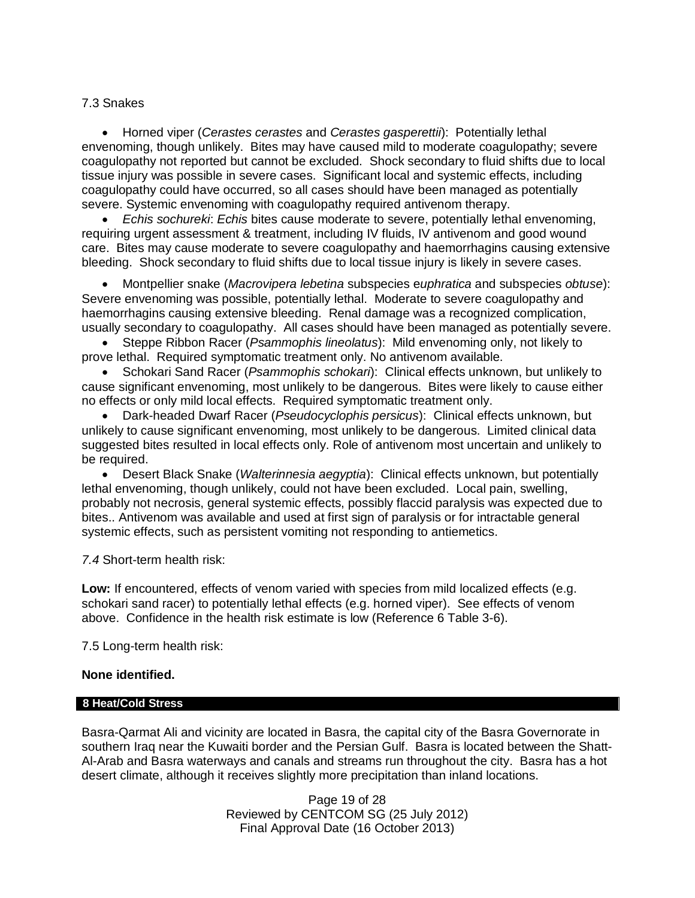### 7.3 Snakes

 Horned viper (*Cerastes cerastes* and *Cerastes gasperettii*): Potentially lethal envenoming, though unlikely. Bites may have caused mild to moderate coagulopathy; severe coagulopathy not reported but cannot be excluded. Shock secondary to fluid shifts due to local tissue injury was possible in severe cases. Significant local and systemic effects, including coagulopathy could have occurred, so all cases should have been managed as potentially severe. Systemic envenoming with coagulopathy required antivenom therapy.

 *Echis sochureki*: *Echis* bites cause moderate to severe, potentially lethal envenoming, requiring urgent assessment & treatment, including IV fluids, IV antivenom and good wound care. Bites may cause moderate to severe coagulopathy and haemorrhagins causing extensive bleeding. Shock secondary to fluid shifts due to local tissue injury is likely in severe cases.

 Montpellier snake (*Macrovipera lebetina* subspecies e*uphratica* and subspecies *obtuse*): Severe envenoming was possible, potentially lethal. Moderate to severe coagulopathy and haemorrhagins causing extensive bleeding. Renal damage was a recognized complication, usually secondary to coagulopathy. All cases should have been managed as potentially severe.

 Steppe Ribbon Racer (*Psammophis lineolatus*): Mild envenoming only, not likely to prove lethal. Required symptomatic treatment only. No antivenom available.

 Schokari Sand Racer (*Psammophis schokari*): Clinical effects unknown, but unlikely to cause significant envenoming, most unlikely to be dangerous. Bites were likely to cause either no effects or only mild local effects. Required symptomatic treatment only.

 Dark-headed Dwarf Racer (*Pseudocyclophis persicus*): Clinical effects unknown, but unlikely to cause significant envenoming, most unlikely to be dangerous. Limited clinical data suggested bites resulted in local effects only. Role of antivenom most uncertain and unlikely to be required.

 Desert Black Snake (*Walterinnesia aegyptia*): Clinical effects unknown, but potentially lethal envenoming, though unlikely, could not have been excluded. Local pain, swelling, probably not necrosis, general systemic effects, possibly flaccid paralysis was expected due to bites.. Antivenom was available and used at first sign of paralysis or for intractable general systemic effects, such as persistent vomiting not responding to antiemetics.

*7.4* Short-term health risk:

**Low:** If encountered, effects of venom varied with species from mild localized effects (e.g. schokari sand racer) to potentially lethal effects (e.g. horned viper). See effects of venom above. Confidence in the health risk estimate is low (Reference 6 Table 3-6).

7.5 Long-term health risk:

#### **None identified.**

#### **8 Heat/Cold Stress**

Basra-Qarmat Ali and vicinity are located in Basra, the capital city of the Basra Governorate in southern Iraq near the Kuwaiti border and the Persian Gulf. Basra is located between the Shatt-Al-Arab and Basra waterways and canals and streams run throughout the city. Basra has a hot desert climate, although it receives slightly more precipitation than inland locations.

> Page 19 of 28 Reviewed by CENTCOM SG (25 July 2012) Final Approval Date (16 October 2013)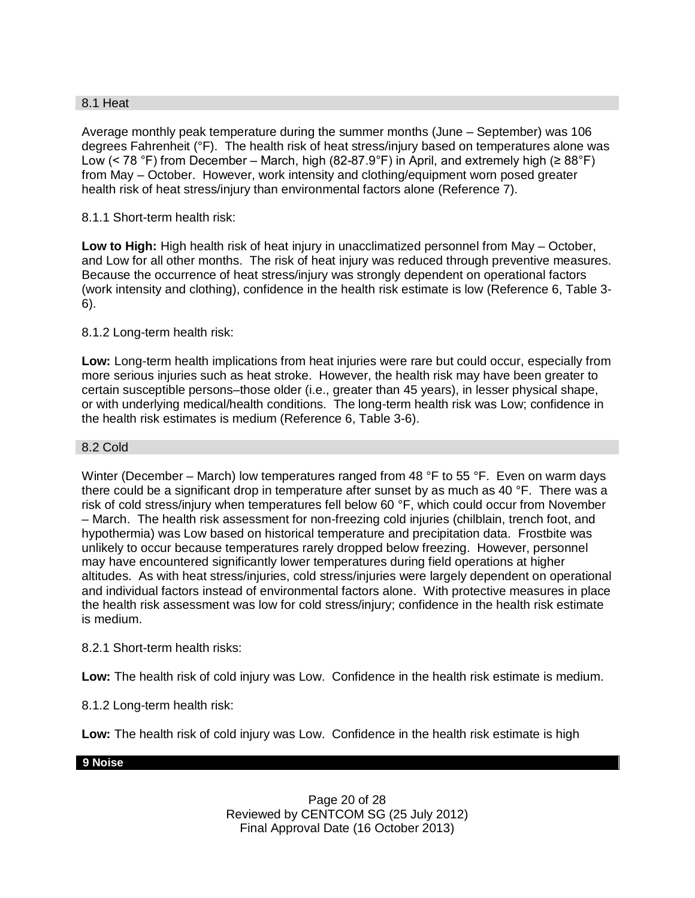### 8.1 Heat

Average monthly peak temperature during the summer months (June – September) was 106 degrees Fahrenheit (°F). The health risk of heat stress/injury based on temperatures alone was Low (< 78 °F) from December – March, high (82-87.9°F) in April, and extremely high ( $\geq 88^{\circ}$ F) from May – October. However, work intensity and clothing/equipment worn posed greater health risk of heat stress/injury than environmental factors alone (Reference 7).

## 8.1.1 Short-term health risk:

**Low to High:** High health risk of heat injury in unacclimatized personnel from May – October, and Low for all other months. The risk of heat injury was reduced through preventive measures. Because the occurrence of heat stress/injury was strongly dependent on operational factors (work intensity and clothing), confidence in the health risk estimate is low (Reference 6, Table 3- 6).

### 8.1.2 Long-term health risk:

**Low:** Long-term health implications from heat injuries were rare but could occur, especially from more serious injuries such as heat stroke. However, the health risk may have been greater to certain susceptible persons–those older (i.e., greater than 45 years), in lesser physical shape, or with underlying medical/health conditions. The long-term health risk was Low; confidence in the health risk estimates is medium (Reference 6, Table 3-6).

#### 8.2 Cold

Winter (December – March) low temperatures ranged from 48 °F to 55 °F. Even on warm days there could be a significant drop in temperature after sunset by as much as 40 °F. There was a risk of cold stress/injury when temperatures fell below 60 °F, which could occur from November – March. The health risk assessment for non-freezing cold injuries (chilblain, trench foot, and hypothermia) was Low based on historical temperature and precipitation data. Frostbite was unlikely to occur because temperatures rarely dropped below freezing. However, personnel may have encountered significantly lower temperatures during field operations at higher altitudes. As with heat stress/injuries, cold stress/injuries were largely dependent on operational and individual factors instead of environmental factors alone. With protective measures in place the health risk assessment was low for cold stress/injury; confidence in the health risk estimate is medium.

#### 8.2.1 Short-term health risks:

**Low:** The health risk of cold injury was Low. Confidence in the health risk estimate is medium.

## 8.1.2 Long-term health risk:

**Low:** The health risk of cold injury was Low. Confidence in the health risk estimate is high

#### **9 Noise**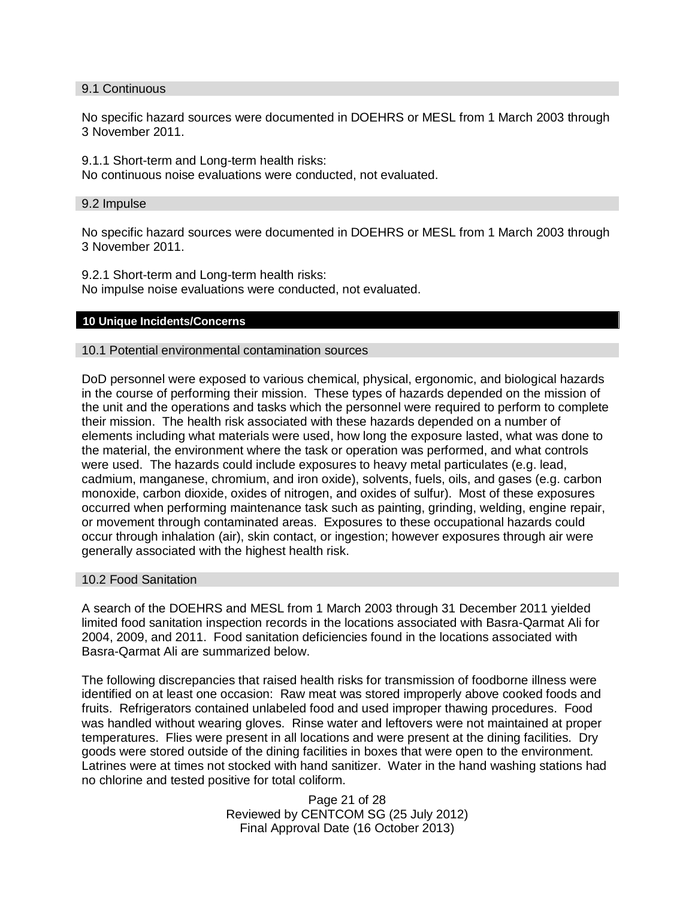#### 9.1 Continuous

No specific hazard sources were documented in DOEHRS or MESL from 1 March 2003 through 3 November 2011.

9.1.1 Short-term and Long-term health risks:

No continuous noise evaluations were conducted, not evaluated.

#### 9.2 Impulse

No specific hazard sources were documented in DOEHRS or MESL from 1 March 2003 through 3 November 2011.

9.2.1 Short-term and Long-term health risks: No impulse noise evaluations were conducted, not evaluated.

#### **10 Unique Incidents/Concerns**

#### 10.1 Potential environmental contamination sources

DoD personnel were exposed to various chemical, physical, ergonomic, and biological hazards in the course of performing their mission. These types of hazards depended on the mission of the unit and the operations and tasks which the personnel were required to perform to complete their mission. The health risk associated with these hazards depended on a number of elements including what materials were used, how long the exposure lasted, what was done to the material, the environment where the task or operation was performed, and what controls were used. The hazards could include exposures to heavy metal particulates (e.g. lead, cadmium, manganese, chromium, and iron oxide), solvents, fuels, oils, and gases (e.g. carbon monoxide, carbon dioxide, oxides of nitrogen, and oxides of sulfur). Most of these exposures occurred when performing maintenance task such as painting, grinding, welding, engine repair, or movement through contaminated areas. Exposures to these occupational hazards could occur through inhalation (air), skin contact, or ingestion; however exposures through air were generally associated with the highest health risk.

#### 10.2 Food Sanitation

A search of the DOEHRS and MESL from 1 March 2003 through 31 December 2011 yielded limited food sanitation inspection records in the locations associated with Basra-Qarmat Ali for 2004, 2009, and 2011. Food sanitation deficiencies found in the locations associated with Basra-Qarmat Ali are summarized below.

The following discrepancies that raised health risks for transmission of foodborne illness were identified on at least one occasion: Raw meat was stored improperly above cooked foods and fruits. Refrigerators contained unlabeled food and used improper thawing procedures. Food was handled without wearing gloves. Rinse water and leftovers were not maintained at proper temperatures. Flies were present in all locations and were present at the dining facilities. Dry goods were stored outside of the dining facilities in boxes that were open to the environment. Latrines were at times not stocked with hand sanitizer. Water in the hand washing stations had no chlorine and tested positive for total coliform.

> Page 21 of 28 Reviewed by CENTCOM SG (25 July 2012) Final Approval Date (16 October 2013)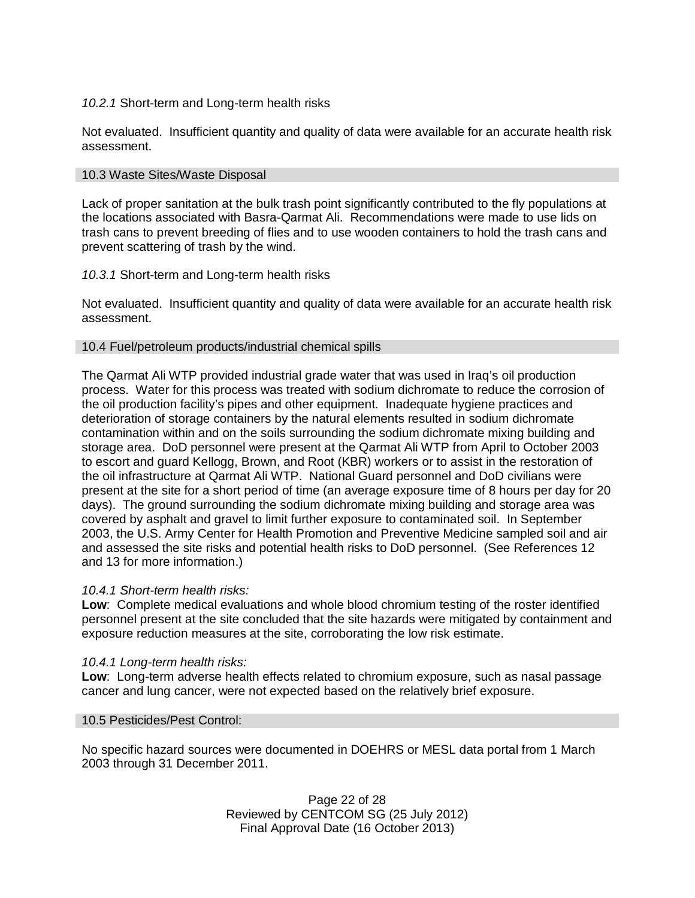### *10.2.1* Short-term and Long-term health risks

Not evaluated. Insufficient quantity and quality of data were available for an accurate health risk assessment.

### 10.3 Waste Sites/Waste Disposal

Lack of proper sanitation at the bulk trash point significantly contributed to the fly populations at the locations associated with Basra-Qarmat Ali. Recommendations were made to use lids on trash cans to prevent breeding of flies and to use wooden containers to hold the trash cans and prevent scattering of trash by the wind.

### *10.3.1* Short-term and Long-term health risks

Not evaluated. Insufficient quantity and quality of data were available for an accurate health risk assessment.

#### 10.4 Fuel/petroleum products/industrial chemical spills

The Qarmat Ali WTP provided industrial grade water that was used in Iraq's oil production process. Water for this process was treated with sodium dichromate to reduce the corrosion of the oil production facility's pipes and other equipment. Inadequate hygiene practices and deterioration of storage containers by the natural elements resulted in sodium dichromate contamination within and on the soils surrounding the sodium dichromate mixing building and storage area. DoD personnel were present at the Qarmat Ali WTP from April to October 2003 to escort and guard Kellogg, Brown, and Root (KBR) workers or to assist in the restoration of the oil infrastructure at Qarmat Ali WTP. National Guard personnel and DoD civilians were present at the site for a short period of time (an average exposure time of 8 hours per day for 20 days). The ground surrounding the sodium dichromate mixing building and storage area was covered by asphalt and gravel to limit further exposure to contaminated soil. In September 2003, the U.S. Army Center for Health Promotion and Preventive Medicine sampled soil and air and assessed the site risks and potential health risks to DoD personnel. (See References 12 and 13 for more information.)

#### *10.4.1 Short-term health risks:*

**Low**: Complete medical evaluations and whole blood chromium testing of the roster identified personnel present at the site concluded that the site hazards were mitigated by containment and exposure reduction measures at the site, corroborating the low risk estimate.

#### *10.4.1 Long-term health risks:*

**Low**: Long-term adverse health effects related to chromium exposure, such as nasal passage cancer and lung cancer, were not expected based on the relatively brief exposure.

#### 10.5 Pesticides/Pest Control:

No specific hazard sources were documented in DOEHRS or MESL data portal from 1 March 2003 through 31 December 2011.

> Page 22 of 28 Reviewed by CENTCOM SG (25 July 2012) Final Approval Date (16 October 2013)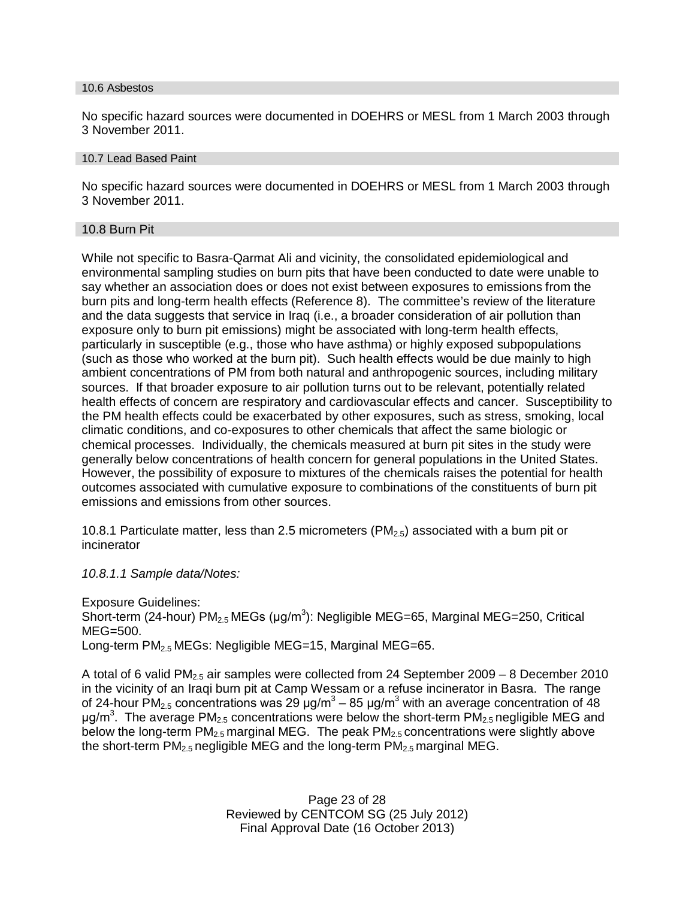#### 10.6 Asbestos

No specific hazard sources were documented in DOEHRS or MESL from 1 March 2003 through 3 November 2011.

#### 10.7 Lead Based Paint

No specific hazard sources were documented in DOEHRS or MESL from 1 March 2003 through 3 November 2011.

#### 10.8 Burn Pit

While not specific to Basra-Qarmat Ali and vicinity, the consolidated epidemiological and environmental sampling studies on burn pits that have been conducted to date were unable to say whether an association does or does not exist between exposures to emissions from the burn pits and long-term health effects (Reference 8). The committee's review of the literature and the data suggests that service in Iraq (i.e., a broader consideration of air pollution than exposure only to burn pit emissions) might be associated with long-term health effects, particularly in susceptible (e.g., those who have asthma) or highly exposed subpopulations (such as those who worked at the burn pit). Such health effects would be due mainly to high ambient concentrations of PM from both natural and anthropogenic sources, including military sources. If that broader exposure to air pollution turns out to be relevant, potentially related health effects of concern are respiratory and cardiovascular effects and cancer. Susceptibility to the PM health effects could be exacerbated by other exposures, such as stress, smoking, local climatic conditions, and co-exposures to other chemicals that affect the same biologic or chemical processes. Individually, the chemicals measured at burn pit sites in the study were generally below concentrations of health concern for general populations in the United States. However, the possibility of exposure to mixtures of the chemicals raises the potential for health outcomes associated with cumulative exposure to combinations of the constituents of burn pit emissions and emissions from other sources.

10.8.1 Particulate matter, less than 2.5 micrometers (PM<sub>2.5</sub>) associated with a burn pit or incinerator

*10.8.1.1 Sample data/Notes:*

Exposure Guidelines: Short-term (24-hour)  $PM_{2.5}$  MEGs (µg/m<sup>3</sup>): Negligible MEG=65, Marginal MEG=250, Critical MEG=500. Long-term  $PM_{2.5}$  MEGs: Negligible MEG=15, Marginal MEG=65.

A total of 6 valid PM<sub>2.5</sub> air samples were collected from 24 September 2009 – 8 December 2010 in the vicinity of an Iraqi burn pit at Camp Wessam or a refuse incinerator in Basra. The range of 24-hour PM<sub>2.5</sub> concentrations was 29 μg/m<sup>3</sup> – 85 μg/m<sup>3</sup> with an average concentration of 48 μg/m<sup>3</sup>. The average PM<sub>2.5</sub> concentrations were below the short-term PM<sub>2.5</sub> negligible MEG and below the long-term  $PM_{2.5}$  marginal MEG. The peak  $PM_{2.5}$  concentrations were slightly above the short-term  $PM<sub>2.5</sub>$  negligible MEG and the long-term  $PM<sub>2.5</sub>$  marginal MEG.

> Page 23 of 28 Reviewed by CENTCOM SG (25 July 2012) Final Approval Date (16 October 2013)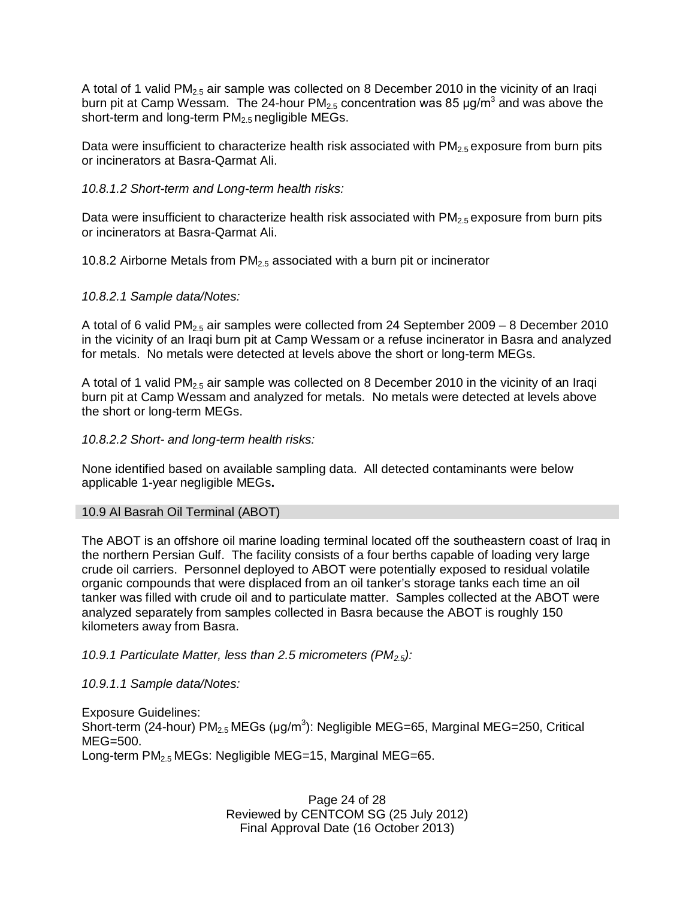A total of 1 valid PM<sub>2.5</sub> air sample was collected on 8 December 2010 in the vicinity of an Iraqi burn pit at Camp Wessam. The 24-hour PM<sub>2.5</sub> concentration was 85 µg/m<sup>3</sup> and was above the short-term and long-term  $PM<sub>2.5</sub>$  negligible MEGs.

Data were insufficient to characterize health risk associated with  $PM_{2.5}$  exposure from burn pits or incinerators at Basra-Qarmat Ali.

### *10.8.1.2 Short-term and Long-term health risks:*

Data were insufficient to characterize health risk associated with  $PM<sub>2.5</sub>$  exposure from burn pits or incinerators at Basra-Qarmat Ali.

10.8.2 Airborne Metals from  $PM<sub>2.5</sub>$  associated with a burn pit or incinerator

### *10.8.2.1 Sample data/Notes:*

A total of 6 valid PM<sub>2.5</sub> air samples were collected from 24 September 2009 – 8 December 2010 in the vicinity of an Iraqi burn pit at Camp Wessam or a refuse incinerator in Basra and analyzed for metals. No metals were detected at levels above the short or long-term MEGs.

A total of 1 valid PM<sub>2.5</sub> air sample was collected on 8 December 2010 in the vicinity of an Iraqi burn pit at Camp Wessam and analyzed for metals. No metals were detected at levels above the short or long-term MEGs.

*10.8.2.2 Short- and long-term health risks:*

None identified based on available sampling data. All detected contaminants were below applicable 1-year negligible MEGs**.**

#### 10.9 Al Basrah Oil Terminal (ABOT)

The ABOT is an offshore oil marine loading terminal located off the southeastern coast of Iraq in the northern Persian Gulf. The facility consists of a four berths capable of loading very large crude oil carriers. Personnel deployed to ABOT were potentially exposed to residual volatile organic compounds that were displaced from an oil tanker's storage tanks each time an oil tanker was filled with crude oil and to particulate matter. Samples collected at the ABOT were analyzed separately from samples collected in Basra because the ABOT is roughly 150 kilometers away from Basra.

## *10.9.1 Particulate Matter, less than 2.5 micrometers (PM2.5):*

*10.9.1.1 Sample data/Notes:*

Exposure Guidelines: Short-term (24-hour)  $PM_{2.5}$  MEGs (µg/m<sup>3</sup>): Negligible MEG=65, Marginal MEG=250, Critical MEG=500. Long-term PM2.5 MEGs: Negligible MEG=15, Marginal MEG=65.

> Page 24 of 28 Reviewed by CENTCOM SG (25 July 2012) Final Approval Date (16 October 2013)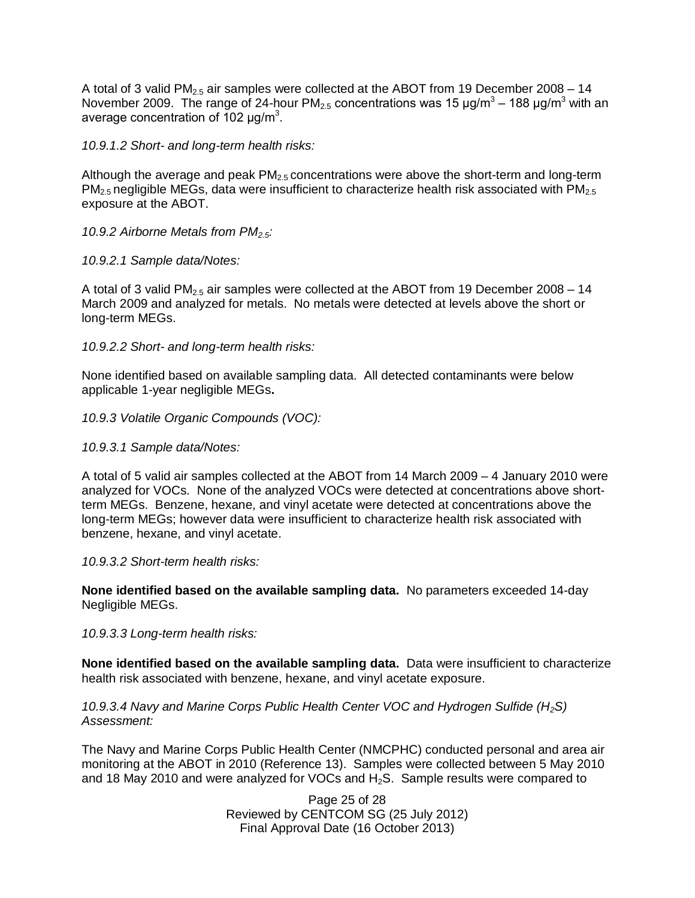A total of 3 valid PM<sub>2.5</sub> air samples were collected at the ABOT from 19 December 2008 – 14 November 2009. The range of 24-hour PM $_{2.5}$  concentrations was 15  $\mu$ g/m $^3$  – 188  $\mu$ g/m $^3$  with an average concentration of 102  $\mu$ g/m<sup>3</sup>.

*10.9.1.2 Short- and long-term health risks:*

Although the average and peak  $PM<sub>2.5</sub>$  concentrations were above the short-term and long-term  $PM<sub>2.5</sub>$  negligible MEGs, data were insufficient to characterize health risk associated with  $PM<sub>2.5</sub>$ exposure at the ABOT.

*10.9.2 Airborne Metals from PM2.5:*

*10.9.2.1 Sample data/Notes:*

A total of 3 valid  $PM<sub>2.5</sub>$  air samples were collected at the ABOT from 19 December 2008 – 14 March 2009 and analyzed for metals. No metals were detected at levels above the short or long-term MEGs.

*10.9.2.2 Short- and long-term health risks:*

None identified based on available sampling data. All detected contaminants were below applicable 1-year negligible MEGs**.**

*10.9.3 Volatile Organic Compounds (VOC):*

*10.9.3.1 Sample data/Notes:*

A total of 5 valid air samples collected at the ABOT from 14 March 2009 – 4 January 2010 were analyzed for VOCs. None of the analyzed VOCs were detected at concentrations above shortterm MEGs. Benzene, hexane, and vinyl acetate were detected at concentrations above the long-term MEGs; however data were insufficient to characterize health risk associated with benzene, hexane, and vinyl acetate.

*10.9.3.2 Short-term health risks:*

**None identified based on the available sampling data.** No parameters exceeded 14-day Negligible MEGs.

*10.9.3.3 Long-term health risks:*

**None identified based on the available sampling data.** Data were insufficient to characterize health risk associated with benzene, hexane, and vinyl acetate exposure.

*10.9.3.4 Navy and Marine Corps Public Health Center VOC and Hydrogen Sulfide (H2S) Assessment:*

The Navy and Marine Corps Public Health Center (NMCPHC) conducted personal and area air monitoring at the ABOT in 2010 (Reference 13). Samples were collected between 5 May 2010 and 18 May 2010 and were analyzed for VOCs and  $H_2S$ . Sample results were compared to

> Page 25 of 28 Reviewed by CENTCOM SG (25 July 2012) Final Approval Date (16 October 2013)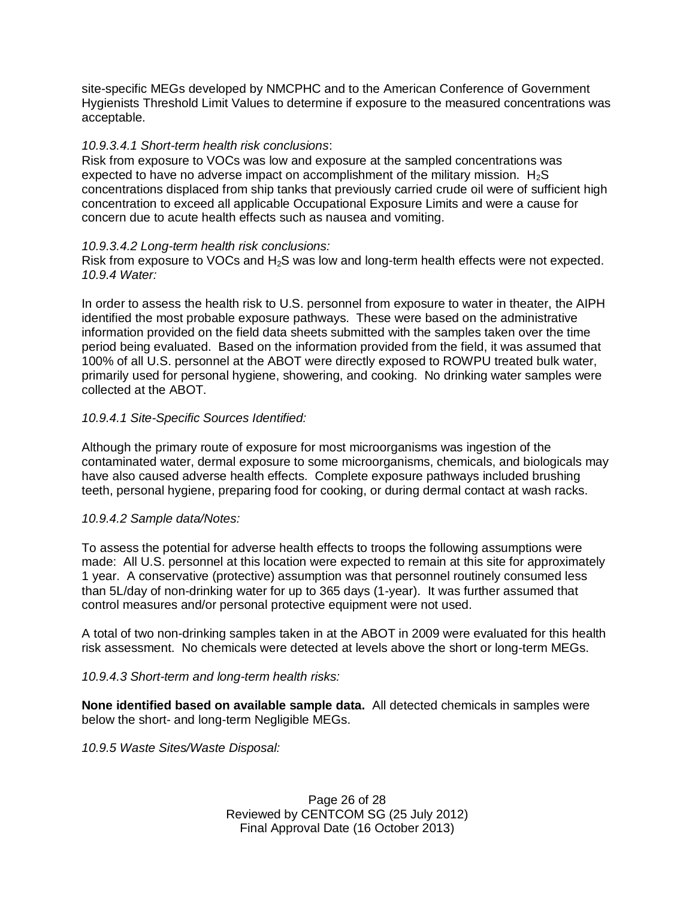site-specific MEGs developed by NMCPHC and to the American Conference of Government Hygienists Threshold Limit Values to determine if exposure to the measured concentrations was acceptable.

### *10.9.3.4.1 Short-term health risk conclusions*:

Risk from exposure to VOCs was low and exposure at the sampled concentrations was expected to have no adverse impact on accomplishment of the military mission.  $H_2S$ concentrations displaced from ship tanks that previously carried crude oil were of sufficient high concentration to exceed all applicable Occupational Exposure Limits and were a cause for concern due to acute health effects such as nausea and vomiting.

### *10.9.3.4.2 Long-term health risk conclusions:*

Risk from exposure to VOCs and  $H_2S$  was low and long-term health effects were not expected. *10.9.4 Water:*

In order to assess the health risk to U.S. personnel from exposure to water in theater, the AIPH identified the most probable exposure pathways. These were based on the administrative information provided on the field data sheets submitted with the samples taken over the time period being evaluated. Based on the information provided from the field, it was assumed that 100% of all U.S. personnel at the ABOT were directly exposed to ROWPU treated bulk water, primarily used for personal hygiene, showering, and cooking. No drinking water samples were collected at the ABOT.

### *10.9.4.1 Site-Specific Sources Identified:*

Although the primary route of exposure for most microorganisms was ingestion of the contaminated water, dermal exposure to some microorganisms, chemicals, and biologicals may have also caused adverse health effects. Complete exposure pathways included brushing teeth, personal hygiene, preparing food for cooking, or during dermal contact at wash racks.

#### *10.9.4.2 Sample data/Notes:*

To assess the potential for adverse health effects to troops the following assumptions were made: All U.S. personnel at this location were expected to remain at this site for approximately 1 year. A conservative (protective) assumption was that personnel routinely consumed less than 5L/day of non-drinking water for up to 365 days (1-year). It was further assumed that control measures and/or personal protective equipment were not used.

A total of two non-drinking samples taken in at the ABOT in 2009 were evaluated for this health risk assessment. No chemicals were detected at levels above the short or long-term MEGs.

#### *10.9.4.3 Short-term and long-term health risks:*

**None identified based on available sample data.** All detected chemicals in samples were below the short- and long-term Negligible MEGs.

*10.9.5 Waste Sites/Waste Disposal:*

Page 26 of 28 Reviewed by CENTCOM SG (25 July 2012) Final Approval Date (16 October 2013)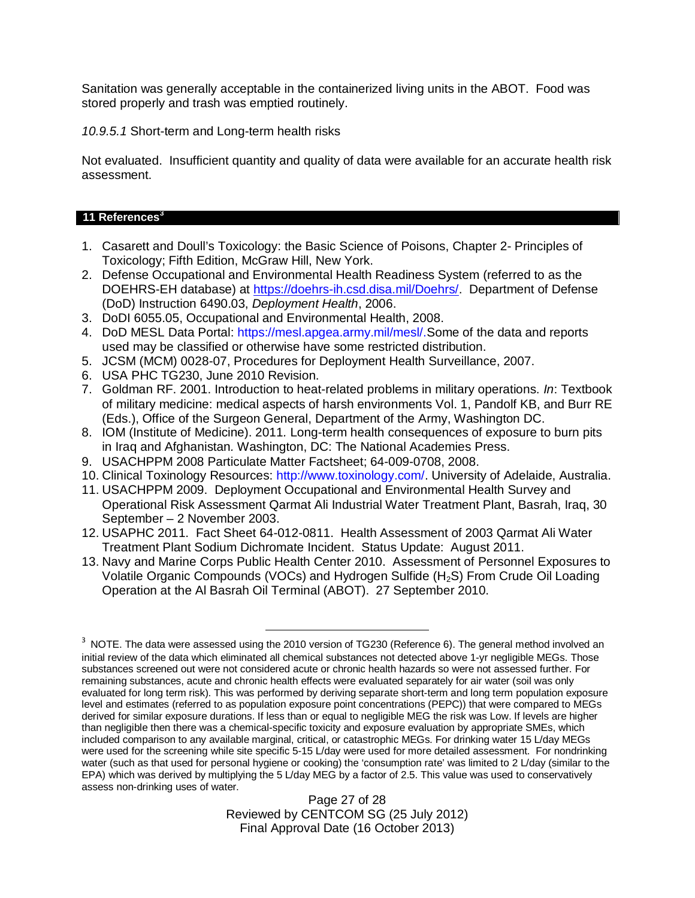Sanitation was generally acceptable in the containerized living units in the ABOT. Food was stored properly and trash was emptied routinely.

*10.9.5.1* Short-term and Long-term health risks

Not evaluated. Insufficient quantity and quality of data were available for an accurate health risk assessment.

### **11 References<sup>3</sup>**

- 1. Casarett and Doull's Toxicology: the Basic Science of Poisons, Chapter 2- Principles of Toxicology; Fifth Edition, McGraw Hill, New York.
- 2. Defense Occupational and Environmental Health Readiness System (referred to as the DOEHRS-EH database) at https://doehrs-ih.csd.disa.mil/Doehrs/. Department of Defense (DoD) Instruction 6490.03, *Deployment Health*, 2006.
- 3. DoDI 6055.05, Occupational and Environmental Health, 2008.
- 4. DoD MESL Data Portal: https://mesl.apgea.army.mil/mesl/.Some of the data and reports used may be classified or otherwise have some restricted distribution.
- 5. JCSM (MCM) 0028-07, Procedures for Deployment Health Surveillance, 2007.
- 6. USA PHC TG230, June 2010 Revision.
- 7. Goldman RF. 2001. Introduction to heat-related problems in military operations. *In*: Textbook of military medicine: medical aspects of harsh environments Vol. 1, Pandolf KB, and Burr RE (Eds.), Office of the Surgeon General, Department of the Army, Washington DC.
- 8. IOM (Institute of Medicine). 2011*.* Long-term health consequences of exposure to burn pits in Iraq and Afghanistan*.* Washington, DC: The National Academies Press.
- 9. USACHPPM 2008 Particulate Matter Factsheet; 64-009-0708, 2008.
- 10. Clinical Toxinology Resources: http://www.toxinology.com/. University of Adelaide, Australia.
- 11. USACHPPM 2009. Deployment Occupational and Environmental Health Survey and Operational Risk Assessment Qarmat Ali Industrial Water Treatment Plant, Basrah, Iraq, 30 September – 2 November 2003.
- 12. USAPHC 2011. Fact Sheet 64-012-0811. Health Assessment of 2003 Qarmat Ali Water Treatment Plant Sodium Dichromate Incident. Status Update: August 2011.
- 13. Navy and Marine Corps Public Health Center 2010. Assessment of Personnel Exposures to Volatile Organic Compounds (VOCs) and Hydrogen Sulfide (H<sub>2</sub>S) From Crude Oil Loading Operation at the Al Basrah Oil Terminal (ABOT). 27 September 2010.

 $^3$  NOTE. The data were assessed using the 2010 version of TG230 (Reference 6). The general method involved an initial review of the data which eliminated all chemical substances not detected above 1-yr negligible MEGs. Those substances screened out were not considered acute or chronic health hazards so were not assessed further. For remaining substances, acute and chronic health effects were evaluated separately for air water (soil was only evaluated for long term risk). This was performed by deriving separate short-term and long term population exposure level and estimates (referred to as population exposure point concentrations (PEPC)) that were compared to MEGs derived for similar exposure durations. If less than or equal to negligible MEG the risk was Low. If levels are higher than negligible then there was a chemical-specific toxicity and exposure evaluation by appropriate SMEs, which included comparison to any available marginal, critical, or catastrophic MEGs. For drinking water 15 L/day MEGs were used for the screening while site specific 5-15 L/day were used for more detailed assessment. For nondrinking water (such as that used for personal hygiene or cooking) the 'consumption rate' was limited to 2 L/day (similar to the EPA) which was derived by multiplying the 5 L/day MEG by a factor of 2.5. This value was used to conservatively assess non-drinking uses of water.